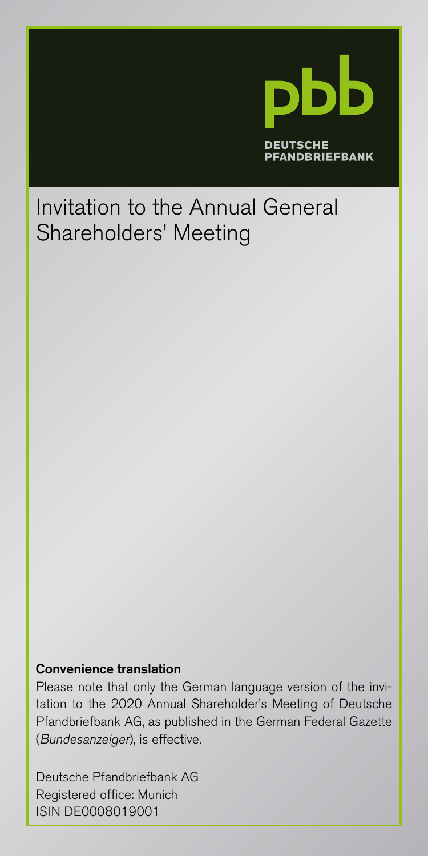

# Invitation to the Annual General Shareholders' Meeting

#### Convenience translation

Please note that only the German language version of the invitation to the 2020 Annual Shareholder's Meeting of Deutsche Pfandbriefbank AG, as published in the German Federal Gazette (Bundesanzeiger), is effective.

Deutsche Pfandbriefbank AG Registered office: Munich ISIN DE0008019001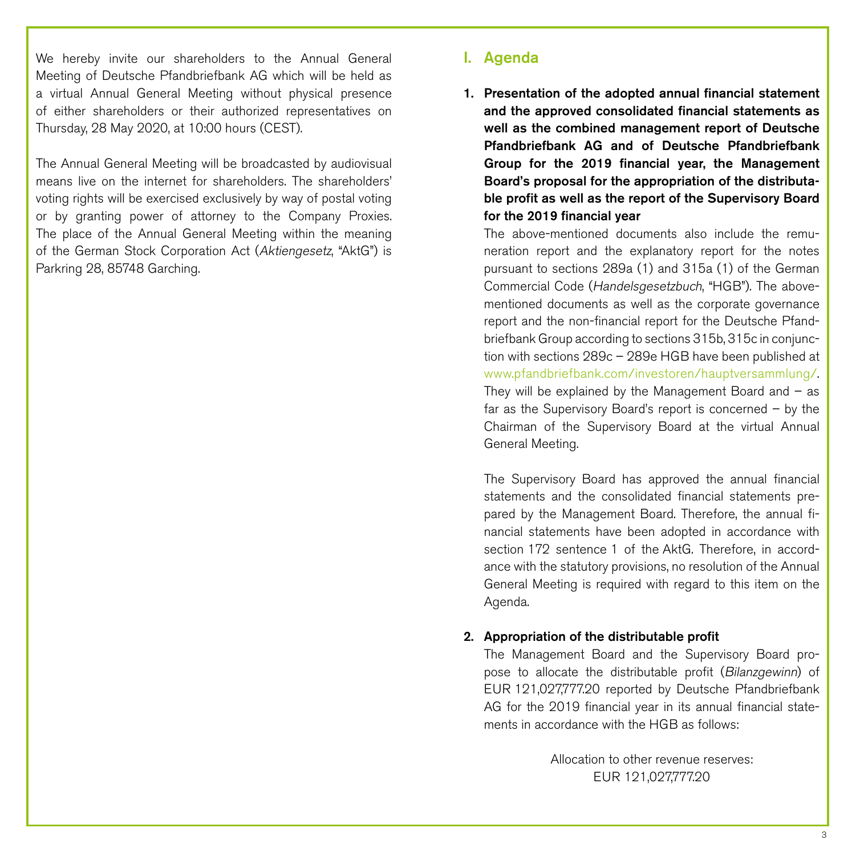We hereby invite our shareholders to the Annual General Meeting of Deutsche Pfandbriefbank AG which will be held as a virtual Annual General Meeting without physical presence of either shareholders or their authorized representatives on Thursday, 28 May 2020, at 10:00 hours (CEST).

The Annual General Meeting will be broadcasted by audiovisual means live on the internet for shareholders. The shareholders' voting rights will be exercised exclusively by way of postal voting or by granting power of attorney to the Company Proxies. The place of the Annual General Meeting within the meaning of the German Stock Corporation Act (Aktiengesetz, "AktG") is Parkring 28, 85748 Garching.

# I. Agenda

1. Presentation of the adopted annual financial statement and the approved consolidated financial statements as well as the combined management report of Deutsche Pfandbriefbank AG and of Deutsche Pfandbriefbank Group for the 2019 financial year, the Management Board's proposal for the appropriation of the distributable profit as well as the report of the Supervisory Board for the 2019 financial year

The above-mentioned documents also include the remuneration report and the explanatory report for the notes pursuant to sections 289a (1) and 315a (1) of the German Commercial Code (Handelsgesetzbuch, "HGB"). The abovementioned documents as well as the corporate governance report and the non-financial report for the Deutsche Pfandbriefbank Group according to sections 315b, 315c in conjunction with sections 289c – 289e HGB have been published at [www.pfandbriefbank.com/investoren/hauptversammlung/.](http://www.pfandbriefbank.com/investoren/hauptversammlung/) They will be explained by the Management Board and  $-$  as far as the Supervisory Board's report is concerned – by the Chairman of the Supervisory Board at the virtual Annual General Meeting.

The Supervisory Board has approved the annual financial statements and the consolidated financial statements prepared by the Management Board. Therefore, the annual financial statements have been adopted in accordance with section 172 sentence 1 of the AktG. Therefore, in accordance with the statutory provisions, no resolution of the Annual General Meeting is required with regard to this item on the Agenda.

### 2. Appropriation of the distributable profit

The Management Board and the Supervisory Board propose to allocate the distributable profit (Bilanzgewinn) of EUR 121,027,777.20 reported by Deutsche Pfandbriefbank AG for the 2019 financial year in its annual financial statements in accordance with the HGB as follows:

> Allocation to other revenue reserves: EUR 121,027,777.20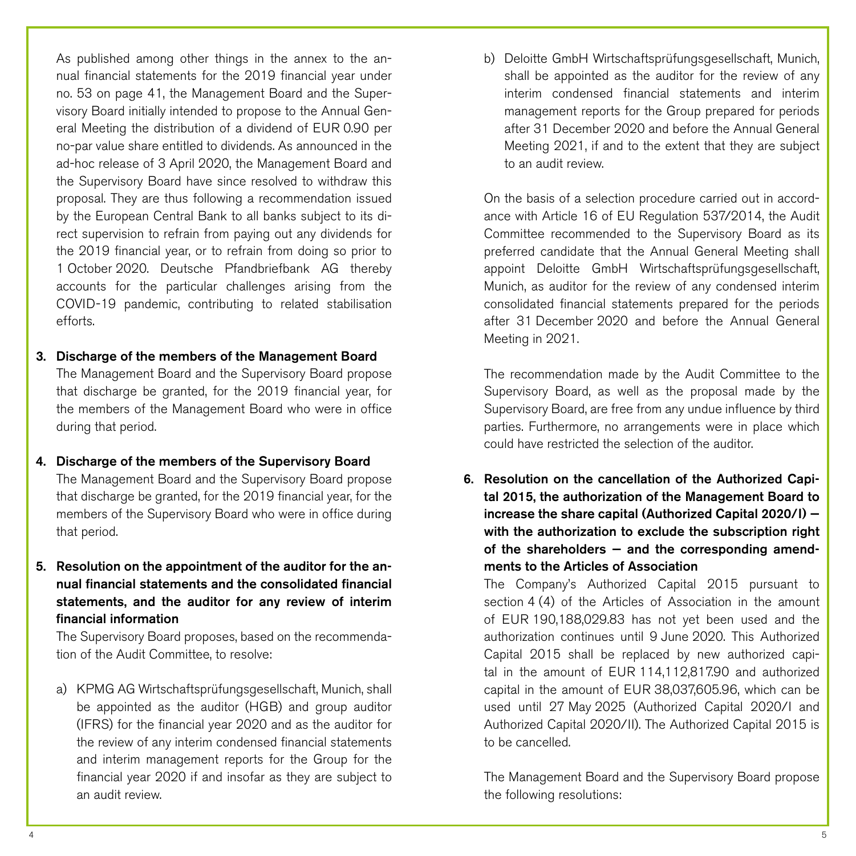As published among other things in the annex to the annual financial statements for the 2019 financial year under no. 53 on page 41, the Management Board and the Supervisory Board initially intended to propose to the Annual General Meeting the distribution of a dividend of EUR 0.90 per no-par value share entitled to dividends. As announced in the ad-hoc release of 3 April 2020, the Management Board and the Supervisory Board have since resolved to withdraw this proposal. They are thus following a recommendation issued by the European Central Bank to all banks subject to its direct supervision to refrain from paying out any dividends for the 2019 financial year, or to refrain from doing so prior to 1 October 2020. Deutsche Pfandbriefbank AG thereby accounts for the particular challenges arising from the COVID-19 pandemic, contributing to related stabilisation efforts.

# 3. Discharge of the members of the Management Board

The Management Board and the Supervisory Board propose that discharge be granted, for the 2019 financial year, for the members of the Management Board who were in office during that period.

4. Discharge of the members of the Supervisory Board The Management Board and the Supervisory Board propose that discharge be granted, for the 2019 financial year, for the members of the Supervisory Board who were in office during that period.

# 5. Resolution on the appointment of the auditor for the annual financial statements and the consolidated financial statements, and the auditor for any review of interim financial information

The Supervisory Board proposes, based on the recommendation of the Audit Committee, to resolve:

a) KPMG AG Wirtschaftsprüfungsgesellschaft, Munich, shall be appointed as the auditor (HGB) and group auditor (IFRS) for the financial year 2020 and as the auditor for the review of any interim condensed financial statements and interim management reports for the Group for the financial year 2020 if and insofar as they are subject to an audit review.

b) Deloitte GmbH Wirtschaftsprüfungsgesellschaft, Munich, shall be appointed as the auditor for the review of any interim condensed financial statements and interim management reports for the Group prepared for periods after 31 December 2020 and before the Annual General Meeting 2021, if and to the extent that they are subject to an audit review.

On the basis of a selection procedure carried out in accordance with Article 16 of EU Regulation 537/2014, the Audit Committee recommended to the Supervisory Board as its preferred candidate that the Annual General Meeting shall appoint Deloitte GmbH Wirtschaftsprüfungsgesellschaft, Munich, as auditor for the review of any condensed interim consolidated financial statements prepared for the periods after 31 December 2020 and before the Annual General Meeting in 2021.

The recommendation made by the Audit Committee to the Supervisory Board, as well as the proposal made by the Supervisory Board, are free from any undue influence by third parties. Furthermore, no arrangements were in place which could have restricted the selection of the auditor.

6. Resolution on the cancellation of the Authorized Capital 2015, the authorization of the Management Board to increase the share capital (Authorized Capital 2020/I) with the authorization to exclude the subscription right of the shareholders  $-$  and the corresponding amendments to the Articles of Association

The Company's Authorized Capital 2015 pursuant to section 4 (4) of the Articles of Association in the amount of EUR 190,188,029.83 has not yet been used and the authorization continues until 9 June 2020. This Authorized Capital 2015 shall be replaced by new authorized capital in the amount of EUR 114,112,817.90 and authorized capital in the amount of EUR 38,037,605.96, which can be used until 27 May 2025 (Authorized Capital 2020/I and Authorized Capital 2020/II). The Authorized Capital 2015 is to be cancelled.

The Management Board and the Supervisory Board propose the following resolutions: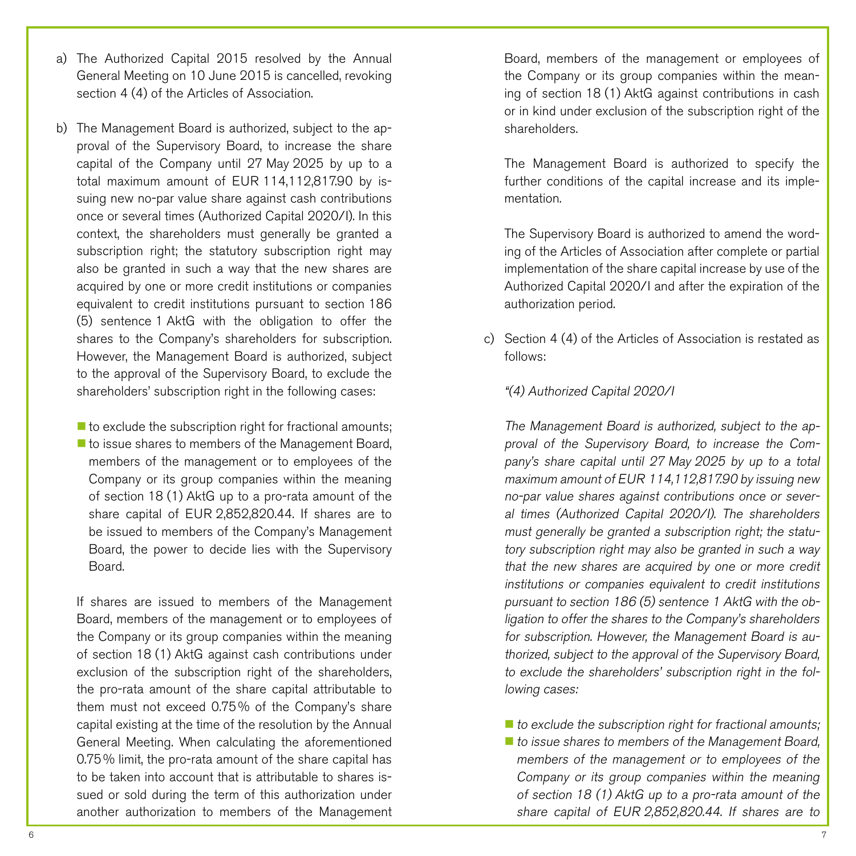- a) The Authorized Capital 2015 resolved by the Annual General Meeting on 10 June 2015 is cancelled, revoking section 4 (4) of the Articles of Association.
- b) The Management Board is authorized, subject to the approval of the Supervisory Board, to increase the share capital of the Company until 27 May 2025 by up to a total maximum amount of EUR 114,112,817.90 by issuing new no-par value share against cash contributions once or several times (Authorized Capital 2020/I). In this context, the shareholders must generally be granted a subscription right; the statutory subscription right may also be granted in such a way that the new shares are acquired by one or more credit institutions or companies equivalent to credit institutions pursuant to section 186 (5) sentence 1 AktG with the obligation to offer the shares to the Company's shareholders for subscription. However, the Management Board is authorized, subject to the approval of the Supervisory Board, to exclude the shareholders' subscription right in the following cases:

 $\blacksquare$  to exclude the subscription right for fractional amounts; ■ to issue shares to members of the Management Board, members of the management or to employees of the Company or its group companies within the meaning of section 18 (1) AktG up to a pro-rata amount of the share capital of EUR 2,852,820.44. If shares are to be issued to members of the Company's Management Board, the power to decide lies with the Supervisory Board.

If shares are issued to members of the Management Board, members of the management or to employees of the Company or its group companies within the meaning of section 18 (1) AktG against cash contributions under exclusion of the subscription right of the shareholders, the pro-rata amount of the share capital attributable to them must not exceed 0.75% of the Company's share capital existing at the time of the resolution by the Annual General Meeting. When calculating the aforementioned 0.75% limit, the pro-rata amount of the share capital has to be taken into account that is attributable to shares issued or sold during the term of this authorization under another authorization to members of the Management

Board, members of the management or employees of the Company or its group companies within the meaning of section 18 (1) AktG against contributions in cash or in kind under exclusion of the subscription right of the shareholders.

The Management Board is authorized to specify the further conditions of the capital increase and its implementation.

The Supervisory Board is authorized to amend the wording of the Articles of Association after complete or partial implementation of the share capital increase by use of the Authorized Capital 2020/I and after the expiration of the authorization period.

- c) Section 4 (4) of the Articles of Association is restated as follows:
	- "(4) Authorized Capital 2020/I

The Management Board is authorized, subject to the approval of the Supervisory Board, to increase the Company's share capital until 27 May 2025 by up to a total maximum amount of EUR 114,112,817.90 by issuing new no-par value shares against contributions once or several times (Authorized Capital 2020/I). The shareholders must generally be granted a subscription right; the statutory subscription right may also be granted in such a way that the new shares are acquired by one or more credit institutions or companies equivalent to credit institutions pursuant to section 186 (5) sentence <sup>1</sup> AktG with the obligation to offer the shares to the Company's shareholders for subscription. However, the Management Board is authorized, subject to the approval of the Supervisory Board, to exclude the shareholders' subscription right in the following cases:

 $\blacksquare$  to exclude the subscription right for fractional amounts;  $\blacksquare$  to issue shares to members of the Management Board, members of the management or to employees of the Company or its group companies within the meaning of section 18 (1) AktG up to a pro-rata amount of the share capital of EUR 2,852,820.44. If shares are to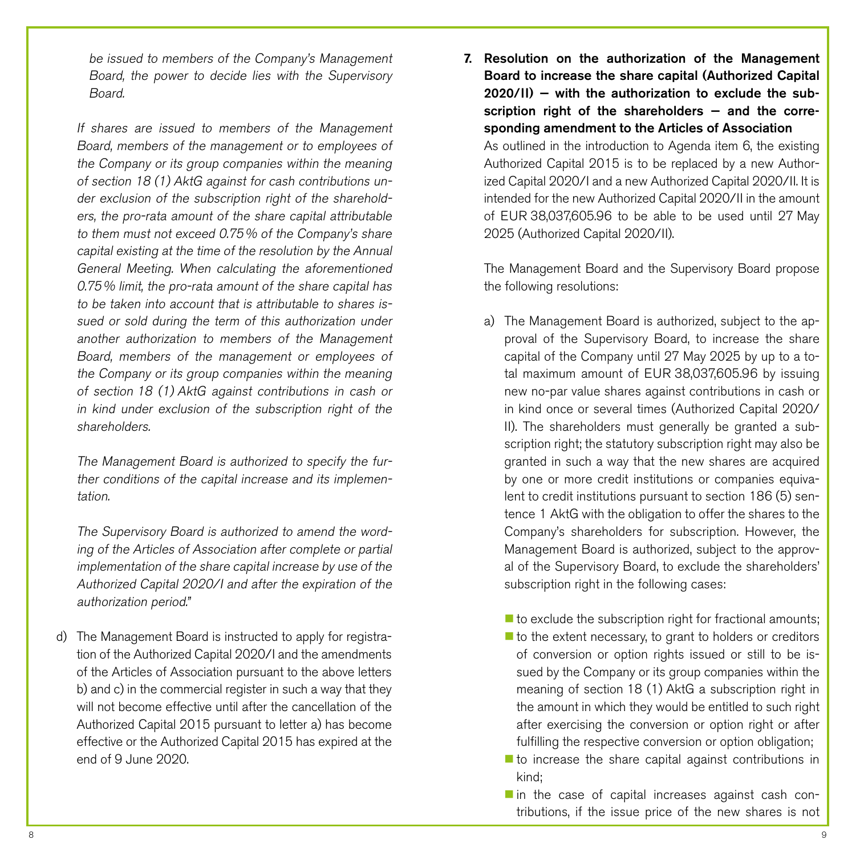be issued to members of the Company's Management Board, the power to decide lies with the Supervisory Board.

If shares are issued to members of the Management Board, members of the management or to employees of the Company or its group companies within the meaning of section 18 (1) AktG against for cash contributions under exclusion of the subscription right of the shareholders, the pro-rata amount of the share capital attributable to them must not exceed 0.75% of the Company's share capital existing at the time of the resolution by the Annual General Meeting. When calculating the aforementioned 0.75% limit, the pro-rata amount of the share capital has to be taken into account that is attributable to shares issued or sold during the term of this authorization under another authorization to members of the Management Board, members of the management or employees of the Company or its group companies within the meaning of section 18 (1) AktG against contributions in cash or in kind under exclusion of the subscription right of the shareholders.

The Management Board is authorized to specify the further conditions of the capital increase and its implementation.

The Supervisory Board is authorized to amend the wording of the Articles of Association after complete or partial implementation of the share capital increase by use of the Authorized Capital 2020/I and after the expiration of the authorization period."

d) The Management Board is instructed to apply for registration of the Authorized Capital 2020/I and the amendments of the Articles of Association pursuant to the above letters b) and c) in the commercial register in such a way that they will not become effective until after the cancellation of the Authorized Capital 2015 pursuant to letter a) has become effective or the Authorized Capital 2015 has expired at the end of 9 June 2020.

7. Resolution on the authorization of the Management Board to increase the share capital (Authorized Capital 2020/II) — with the authorization to exclude the subscription right of the shareholders  $-$  and the corresponding amendment to the Articles of Association As outlined in the introduction to Agenda item 6, the existing

Authorized Capital 2015 is to be replaced by a new Authorized Capital 2020/I and a new Authorized Capital 2020/II. It is intended for the new Authorized Capital 2020/II in the amount of EUR 38,037,605.96 to be able to be used until 27 May 2025 (Authorized Capital 2020/II).

The Management Board and the Supervisory Board propose the following resolutions:

a) The Management Board is authorized, subject to the approval of the Supervisory Board, to increase the share capital of the Company until 27 May 2025 by up to a total maximum amount of EUR 38,037,605.96 by issuing new no-par value shares against contributions in cash or in kind once or several times (Authorized Capital 2020/ II). The shareholders must generally be granted a subscription right; the statutory subscription right may also be granted in such a way that the new shares are acquired by one or more credit institutions or companies equivalent to credit institutions pursuant to section 186 (5) sentence 1 AktG with the obligation to offer the shares to the Company's shareholders for subscription. However, the Management Board is authorized, subject to the approval of the Supervisory Board, to exclude the shareholders' subscription right in the following cases:

 $\blacksquare$  to exclude the subscription right for fractional amounts;

- $\blacksquare$  to the extent necessary, to grant to holders or creditors of conversion or option rights issued or still to be issued by the Company or its group companies within the meaning of section 18 (1) AktG a subscription right in the amount in which they would be entitled to such right after exercising the conversion or option right or after fulfilling the respective conversion or option obligation;
- $\blacksquare$  to increase the share capital against contributions in kind;
- in the case of capital increases against cash contributions, if the issue price of the new shares is not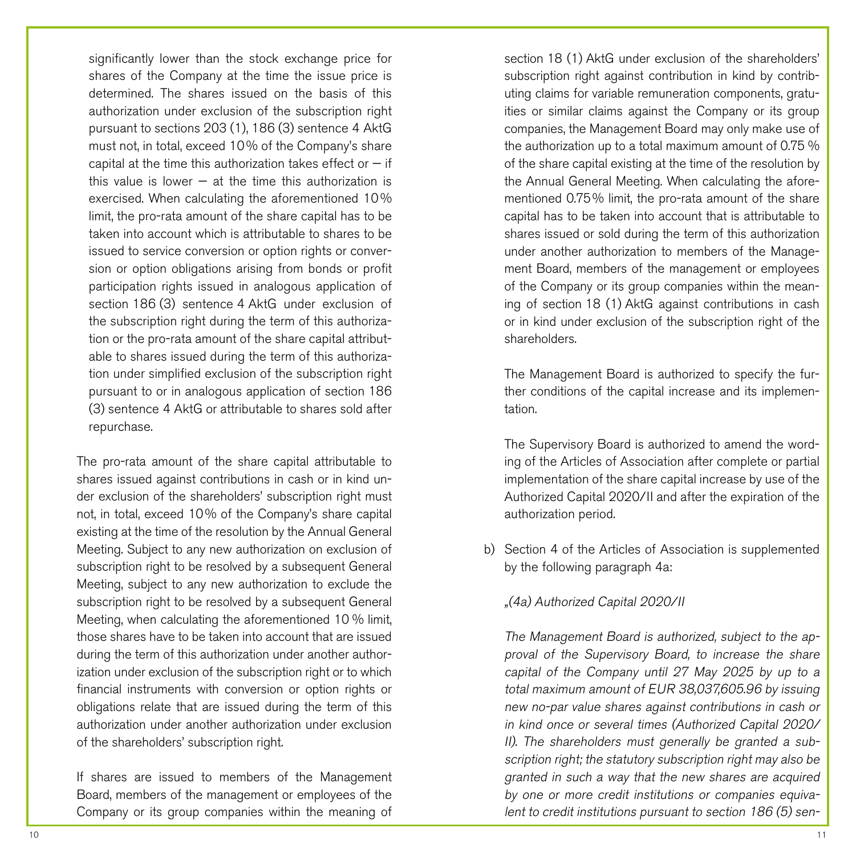significantly lower than the stock exchange price for shares of the Company at the time the issue price is determined. The shares issued on the basis of this authorization under exclusion of the subscription right pursuant to sections 203 (1), 186 (3) sentence 4 AktG must not, in total, exceed 10% of the Company's share capital at the time this authorization takes effect or  $-$  if this value is lower  $-$  at the time this authorization is exercised. When calculating the aforementioned 10% limit, the pro-rata amount of the share capital has to be taken into account which is attributable to shares to be issued to service conversion or option rights or conversion or option obligations arising from bonds or profit participation rights issued in analogous application of section 186 (3) sentence 4 AktG under exclusion of the subscription right during the term of this authorization or the pro-rata amount of the share capital attributable to shares issued during the term of this authorization under simplified exclusion of the subscription right pursuant to or in analogous application of section 186 (3) sentence 4 AktG or attributable to shares sold after repurchase.

The pro-rata amount of the share capital attributable to shares issued against contributions in cash or in kind under exclusion of the shareholders' subscription right must not, in total, exceed 10% of the Company's share capital existing at the time of the resolution by the Annual General Meeting. Subject to any new authorization on exclusion of subscription right to be resolved by a subsequent General Meeting, subject to any new authorization to exclude the subscription right to be resolved by a subsequent General Meeting, when calculating the aforementioned 10 % limit, those shares have to be taken into account that are issued during the term of this authorization under another authorization under exclusion of the subscription right or to which financial instruments with conversion or option rights or obligations relate that are issued during the term of this authorization under another authorization under exclusion of the shareholders' subscription right.

If shares are issued to members of the Management Board, members of the management or employees of the Company or its group companies within the meaning of

section 18 (1) AktG under exclusion of the shareholders' subscription right against contribution in kind by contributing claims for variable remuneration components, gratuities or similar claims against the Company or its group companies, the Management Board may only make use of the authorization up to a total maximum amount of 0.75 % of the share capital existing at the time of the resolution by the Annual General Meeting. When calculating the aforementioned 0.75% limit, the pro-rata amount of the share capital has to be taken into account that is attributable to shares issued or sold during the term of this authorization under another authorization to members of the Management Board, members of the management or employees of the Company or its group companies within the meaning of section 18 (1) AktG against contributions in cash or in kind under exclusion of the subscription right of the shareholders.

The Management Board is authorized to specify the further conditions of the capital increase and its implementation.

The Supervisory Board is authorized to amend the wording of the Articles of Association after complete or partial implementation of the share capital increase by use of the Authorized Capital 2020/II and after the expiration of the authorization period.

b) Section 4 of the Articles of Association is supplemented by the following paragraph 4a:

### "(4a) Authorized Capital 2020/II

The Management Board is authorized, subject to the approval of the Supervisory Board, to increase the share capital of the Company until 27 May 2025 by up to a total maximum amount of EUR 38,037,605.96 by issuing new no-par value shares against contributions in cash or in kind once or several times (Authorized Capital 2020/ II). The shareholders must generally be granted a subscription right; the statutory subscription right may also be granted in such a way that the new shares are acquired by one or more credit institutions or companies equivalent to credit institutions pursuant to section 186 (5) sen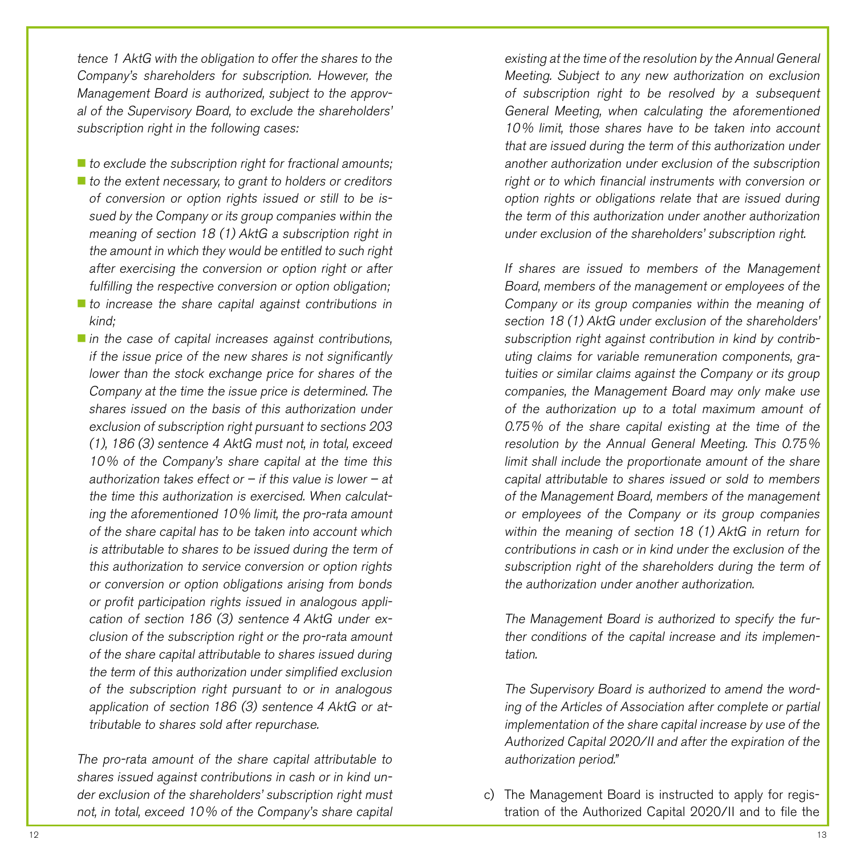tence 1 AktG with the obligation to offer the shares to the Company's shareholders for subscription. However, the Management Board is authorized, subject to the approval of the Supervisory Board, to exclude the shareholders' subscription right in the following cases:

- $\blacksquare$  to exclude the subscription right for fractional amounts;  $\blacksquare$  to the extent necessary, to grant to holders or creditors of conversion or option rights issued or still to be issued by the Company or its group companies within the meaning of section 18 (1) AktG a subscription right in the amount in which they would be entitled to such right after exercising the conversion or option right or after fulfilling the respective conversion or option obligation;
- $\blacksquare$  to increase the share capital against contributions in kind;
- $\blacksquare$  in the case of capital increases against contributions, if the issue price of the new shares is not significantly lower than the stock exchange price for shares of the Company at the time the issue price is determined. The shares issued on the basis of this authorization under exclusion of subscription right pursuant to sections 203 (1), 186 (3) sentence 4 AktG must not, in total, exceed 10% of the Company's share capital at the time this authorization takes effect or  $-$  if this value is lower  $-$  at the time this authorization is exercised. When calculating the aforementioned 10% limit, the pro-rata amount of the share capital has to be taken into account which is attributable to shares to be issued during the term of this authorization to service conversion or option rights or conversion or option obligations arising from bonds or profit participation rights issued in analogous application of section 186 (3) sentence 4 AktG under exclusion of the subscription right or the pro-rata amount of the share capital attributable to shares issued during the term of this authorization under simplified exclusion of the subscription right pursuant to or in analogous application of section 186 (3) sentence <sup>4</sup> AktG or attributable to shares sold after repurchase.

The pro-rata amount of the share capital attributable to shares issued against contributions in cash or in kind under exclusion of the shareholders' subscription right must not, in total, exceed 10% of the Company's share capital

existing at the time of the resolution by the Annual General Meeting. Subject to any new authorization on exclusion of subscription right to be resolved by a subsequent General Meeting, when calculating the aforementioned 10% limit, those shares have to be taken into account that are issued during the term of this authorization under another authorization under exclusion of the subscription right or to which financial instruments with conversion or option rights or obligations relate that are issued during the term of this authorization under another authorization under exclusion of the shareholders' subscription right.

If shares are issued to members of the Management Board, members of the management or employees of the Company or its group companies within the meaning of section 18 (1) AktG under exclusion of the shareholders' subscription right against contribution in kind by contributing claims for variable remuneration components, gratuities or similar claims against the Company or its group companies, the Management Board may only make use of the authorization up to a total maximum amount of 0.75% of the share capital existing at the time of the resolution by the Annual General Meeting. This 0.75% limit shall include the proportionate amount of the share capital attributable to shares issued or sold to members of the Management Board, members of the management or employees of the Company or its group companies within the meaning of section 18 (1) AktG in return for contributions in cash or in kind under the exclusion of the subscription right of the shareholders during the term of the authorization under another authorization.

The Management Board is authorized to specify the further conditions of the capital increase and its implementation.

The Supervisory Board is authorized to amend the wording of the Articles of Association after complete or partial implementation of the share capital increase by use of the Authorized Capital 2020/II and after the expiration of the authorization period."

c) The Management Board is instructed to apply for registration of the Authorized Capital 2020/II and to file the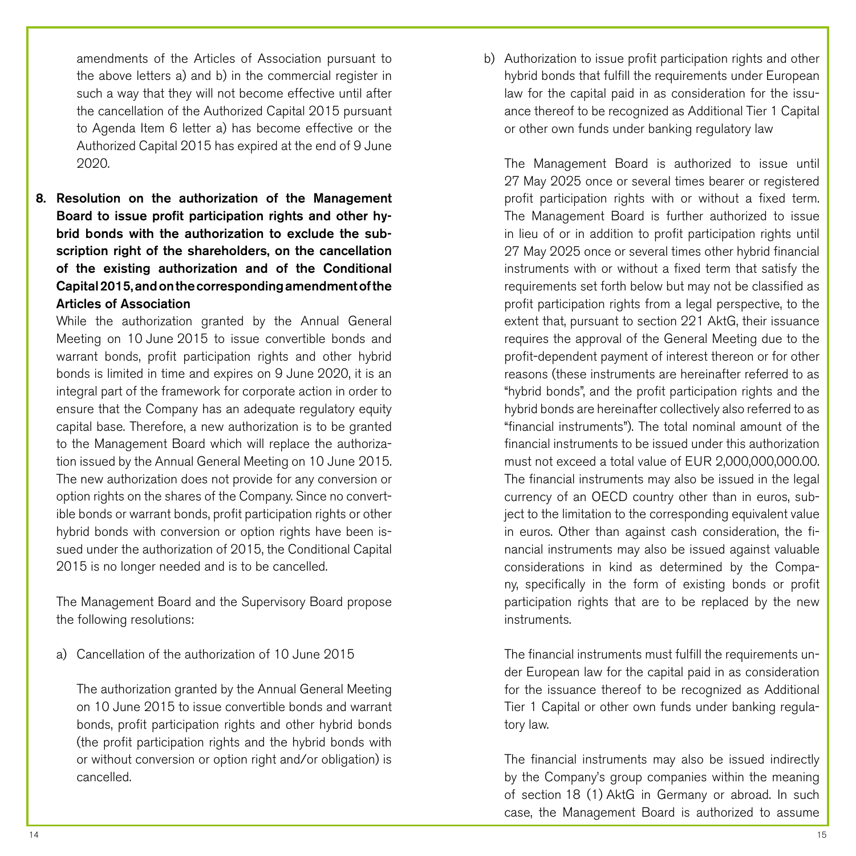amendments of the Articles of Association pursuant to the above letters a) and b) in the commercial register in such a way that they will not become effective until after the cancellation of the Authorized Capital 2015 pursuant to Agenda Item 6 letter a) has become effective or the Authorized Capital 2015 has expired at the end of 9 June 2020.

8. Resolution on the authorization of the Management Board to issue profit participation rights and other hybrid bonds with the authorization to exclude the subscription right of the shareholders, on the cancellation of the existing authorization and of the Conditional Capital 2015, and on the corresponding amendment of the Articles of Association

While the authorization granted by the Annual General Meeting on 10 June 2015 to issue convertible bonds and warrant bonds, profit participation rights and other hybrid bonds is limited in time and expires on 9 June 2020, it is an integral part of the framework for corporate action in order to ensure that the Company has an adequate regulatory equity capital base. Therefore, a new authorization is to be granted to the Management Board which will replace the authorization issued by the Annual General Meeting on 10 June 2015. The new authorization does not provide for any conversion or option rights on the shares of the Company. Since no convertible bonds or warrant bonds, profit participation rights or other hybrid bonds with conversion or option rights have been issued under the authorization of 2015, the Conditional Capital 2015 is no longer needed and is to be cancelled.

The Management Board and the Supervisory Board propose the following resolutions:

a) Cancellation of the authorization of 10 June 2015

The authorization granted by the Annual General Meeting on 10 June 2015 to issue convertible bonds and warrant bonds, profit participation rights and other hybrid bonds (the profit participation rights and the hybrid bonds with or without conversion or option right and/or obligation) is cancelled.

b) Authorization to issue profit participation rights and other hybrid bonds that fulfill the requirements under European law for the capital paid in as consideration for the issuance thereof to be recognized as Additional Tier 1 Capital or other own funds under banking regulatory law

The Management Board is authorized to issue until 27 May 2025 once or several times bearer or registered profit participation rights with or without a fixed term. The Management Board is further authorized to issue in lieu of or in addition to profit participation rights until 27 May 2025 once or several times other hybrid financial instruments with or without a fixed term that satisfy the requirements set forth below but may not be classified as profit participation rights from a legal perspective, to the extent that, pursuant to section 221 AktG, their issuance requires the approval of the General Meeting due to the profit-dependent payment of interest thereon or for other reasons (these instruments are hereinafter referred to as "hybrid bonds", and the profit participation rights and the hybrid bonds are hereinafter collectively also referred to as "financial instruments"). The total nominal amount of the financial instruments to be issued under this authorization must not exceed a total value of EUR 2,000,000,000.00. The financial instruments may also be issued in the legal currency of an OECD country other than in euros, subject to the limitation to the corresponding equivalent value in euros. Other than against cash consideration, the financial instruments may also be issued against valuable considerations in kind as determined by the Company, specifically in the form of existing bonds or profit participation rights that are to be replaced by the new instruments.

The financial instruments must fulfill the requirements under European law for the capital paid in as consideration for the issuance thereof to be recognized as Additional Tier 1 Capital or other own funds under banking regulatory law.

The financial instruments may also be issued indirectly by the Company's group companies within the meaning of section 18 (1) AktG in Germany or abroad. In such case, the Management Board is authorized to assume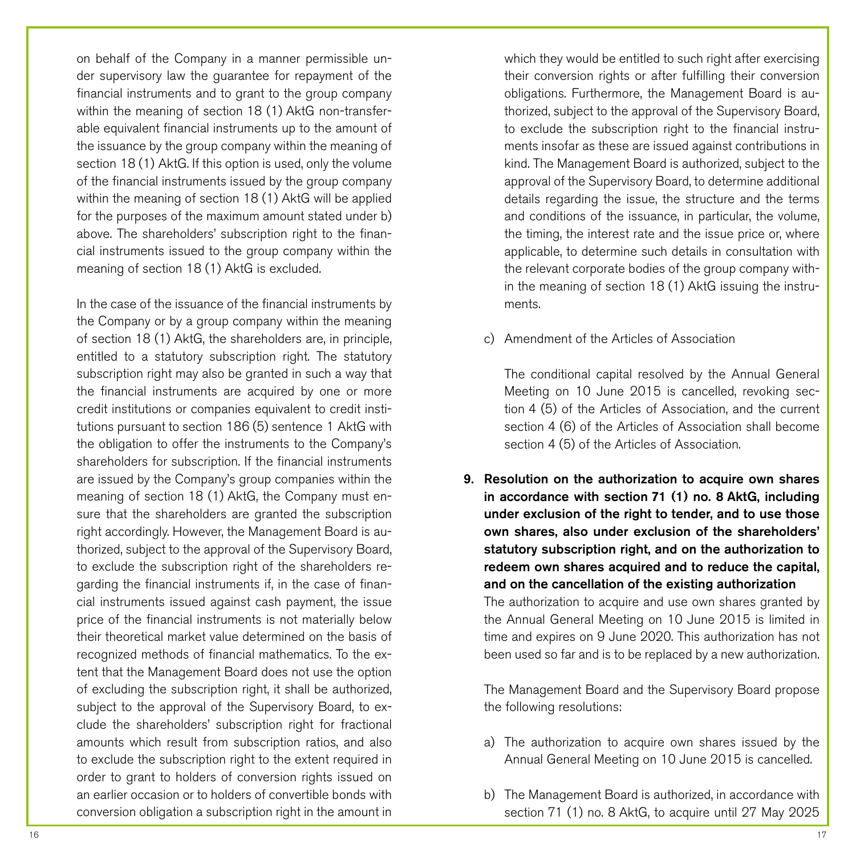on behalf of the Company in a manner permissible under supervisory law the guarantee for repayment of the financial instruments and to grant to the group company within the meaning of section 18 (1) AktG non-transferable equivalent financial instruments up to the amount of the issuance by the group company within the meaning of section 18 (1) AktG. If this option is used, only the volume of the financial instruments issued by the group company within the meaning of section 18 (1) AktG will be applied for the purposes of the maximum amount stated under b) above. The shareholders' subscription right to the financial instruments issued to the group company within the meaning of section 18 (1) AktG is excluded.

In the case of the issuance of the financial instruments by the Company or by a group company within the meaning of section 18 (1) AktG, the shareholders are, in principle, entitled to a statutory subscription right. The statutory subscription right may also be granted in such a way that the financial instruments are acquired by one or more credit institutions or companies equivalent to credit institutions pursuant to section 186 (5) sentence 1 AktG with the obligation to offer the instruments to the Company's shareholders for subscription. If the financial instruments are issued by the Company's group companies within the meaning of section 18 (1) AktG, the Company must ensure that the shareholders are granted the subscription right accordingly. However, the Management Board is authorized, subject to the approval of the Supervisory Board, to exclude the subscription right of the shareholders regarding the financial instruments if, in the case of financial instruments issued against cash payment, the issue price of the financial instruments is not materially below their theoretical market value determined on the basis of recognized methods of financial mathematics. To the extent that the Management Board does not use the option of excluding the subscription right, it shall be authorized, subject to the approval of the Supervisory Board, to exclude the shareholders' subscription right for fractional amounts which result from subscription ratios, and also to exclude the subscription right to the extent required in order to grant to holders of conversion rights issued on an earlier occasion or to holders of convertible bonds with conversion obligation a subscription right in the amount in which they would be entitled to such right after exercising their conversion rights or after fulfilling their conversion obligations. Furthermore, the Management Board is authorized, subject to the approval of the Supervisory Board, to exclude the subscription right to the financial instruments insofar as these are issued against contributions in kind. The Management Board is authorized, subject to the approval of the Supervisory Board, to determine additional details regarding the issue, the structure and the terms and conditions of the issuance, in particular, the volume, the timing, the interest rate and the issue price or, where applicable, to determine such details in consultation with the relevant corporate bodies of the group company within the meaning of section 18 (1) AktG issuing the instruments.

c) Amendment of the Articles of Association

The conditional capital resolved by the Annual General Meeting on 10 June 2015 is cancelled, revoking section 4 (5) of the Articles of Association, and the current section 4 (6) of the Articles of Association shall become section 4 (5) of the Articles of Association.

9. Resolution on the authorization to acquire own shares in accordance with section 71 (1) no. 8 AktG, including under exclusion of the right to tender, and to use those own shares, also under exclusion of the shareholders' statutory subscription right, and on the authorization to redeem own shares acquired and to reduce the capital, and on the cancellation of the existing authorization The authorization to acquire and use own shares granted by the Annual General Meeting on 10 June 2015 is limited in

time and expires on 9 June 2020. This authorization has not been used so far and is to be replaced by a new authorization.

The Management Board and the Supervisory Board propose the following resolutions:

- a) The authorization to acquire own shares issued by the Annual General Meeting on 10 June 2015 is cancelled.
- b) The Management Board is authorized, in accordance with section 71 (1) no. 8 AktG, to acquire until 27 May 2025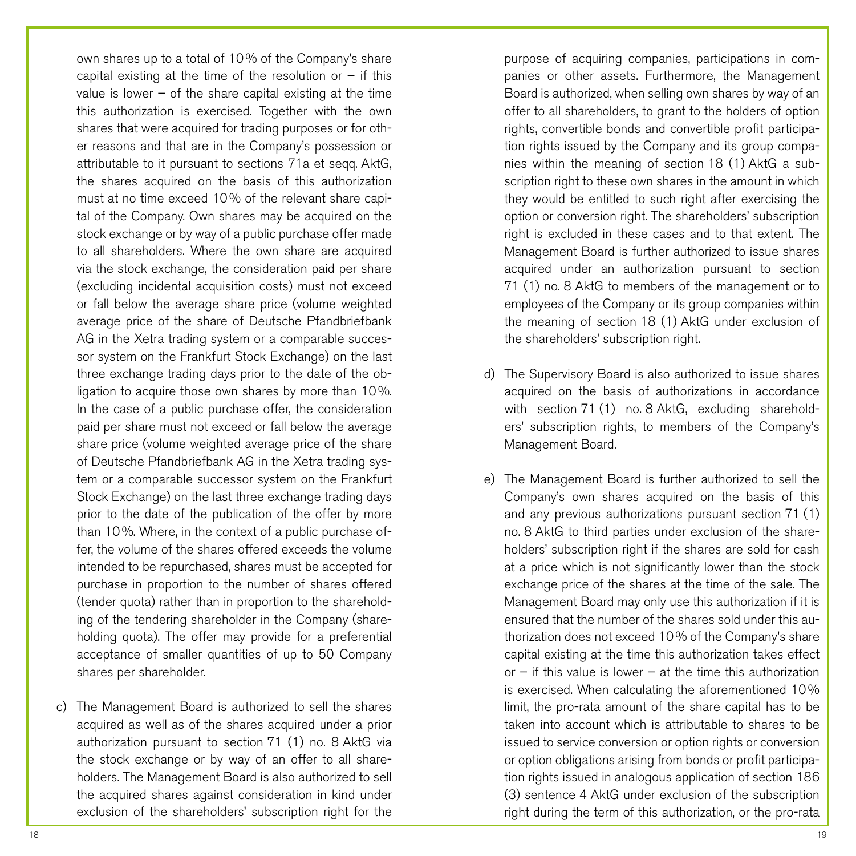own shares up to a total of 10% of the Company's share capital existing at the time of the resolution or  $-$  if this value is lower  $-$  of the share capital existing at the time this authorization is exercised. Together with the own shares that were acquired for trading purposes or for other reasons and that are in the Company's possession or attributable to it pursuant to sections 71a et seqq. AktG, the shares acquired on the basis of this authorization must at no time exceed 10% of the relevant share capital of the Company. Own shares may be acquired on the stock exchange or by way of a public purchase offer made to all shareholders. Where the own share are acquired via the stock exchange, the consideration paid per share (excluding incidental acquisition costs) must not exceed or fall below the average share price (volume weighted average price of the share of Deutsche Pfandbriefbank AG in the Xetra trading system or a comparable successor system on the Frankfurt Stock Exchange) on the last three exchange trading days prior to the date of the obligation to acquire those own shares by more than 10%. In the case of a public purchase offer, the consideration paid per share must not exceed or fall below the average share price (volume weighted average price of the share of Deutsche Pfandbriefbank AG in the Xetra trading system or a comparable successor system on the Frankfurt Stock Exchange) on the last three exchange trading days prior to the date of the publication of the offer by more than 10%. Where, in the context of a public purchase offer, the volume of the shares offered exceeds the volume intended to be repurchased, shares must be accepted for purchase in proportion to the number of shares offered (tender quota) rather than in proportion to the shareholding of the tendering shareholder in the Company (shareholding quota). The offer may provide for a preferential acceptance of smaller quantities of up to 50 Company shares per shareholder.

c) The Management Board is authorized to sell the shares acquired as well as of the shares acquired under a prior authorization pursuant to section 71 (1) no. 8 AktG via the stock exchange or by way of an offer to all shareholders. The Management Board is also authorized to sell the acquired shares against consideration in kind under exclusion of the shareholders' subscription right for the

purpose of acquiring companies, participations in companies or other assets. Furthermore, the Management Board is authorized, when selling own shares by way of an offer to all shareholders, to grant to the holders of option rights, convertible bonds and convertible profit participation rights issued by the Company and its group companies within the meaning of section 18 (1) AktG a subscription right to these own shares in the amount in which they would be entitled to such right after exercising the option or conversion right. The shareholders' subscription right is excluded in these cases and to that extent. The Management Board is further authorized to issue shares acquired under an authorization pursuant to section 71 (1) no. 8 AktG to members of the management or to employees of the Company or its group companies within the meaning of section 18 (1) AktG under exclusion of the shareholders' subscription right.

- d) The Supervisory Board is also authorized to issue shares acquired on the basis of authorizations in accordance with section 71 (1) no. 8 AktG, excluding shareholders' subscription rights, to members of the Company's Management Board.
- e) The Management Board is further authorized to sell the Company's own shares acquired on the basis of this and any previous authorizations pursuant section 71 (1) no. 8 AktG to third parties under exclusion of the shareholders' subscription right if the shares are sold for cash at a price which is not significantly lower than the stock exchange price of the shares at the time of the sale. The Management Board may only use this authorization if it is ensured that the number of the shares sold under this authorization does not exceed 10% of the Company's share capital existing at the time this authorization takes effect or  $-$  if this value is lower  $-$  at the time this authorization is exercised. When calculating the aforementioned 10% limit, the pro-rata amount of the share capital has to be taken into account which is attributable to shares to be issued to service conversion or option rights or conversion or option obligations arising from bonds or profit participation rights issued in analogous application of section 186 (3) sentence 4 AktG under exclusion of the subscription right during the term of this authorization, or the pro-rata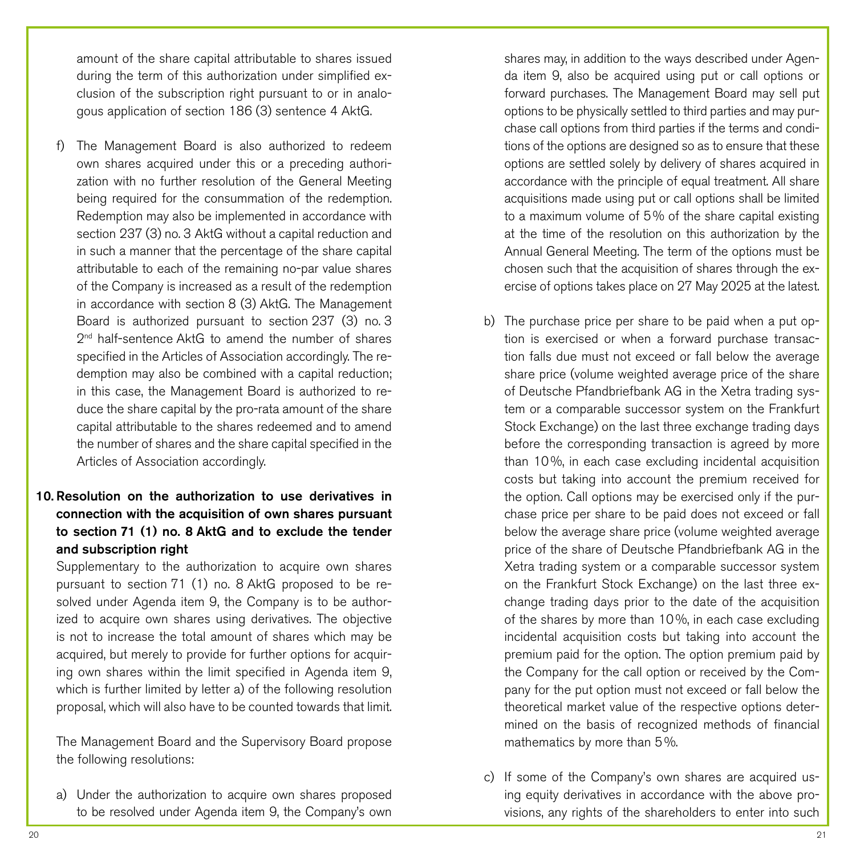amount of the share capital attributable to shares issued during the term of this authorization under simplified exclusion of the subscription right pursuant to or in analogous application of section 186 (3) sentence 4 AktG.

f) The Management Board is also authorized to redeem own shares acquired under this or a preceding authorization with no further resolution of the General Meeting being required for the consummation of the redemption. Redemption may also be implemented in accordance with section 237 (3) no. 3 AktG without a capital reduction and in such a manner that the percentage of the share capital attributable to each of the remaining no-par value shares of the Company is increased as a result of the redemption in accordance with section 8 (3) AktG. The Management Board is authorized pursuant to section 237 (3) no. 3  $2<sup>nd</sup>$  half-sentence AktG to amend the number of shares specified in the Articles of Association accordingly. The redemption may also be combined with a capital reduction; in this case, the Management Board is authorized to reduce the share capital by the pro-rata amount of the share capital attributable to the shares redeemed and to amend the number of shares and the share capital specified in the Articles of Association accordingly.

# 10. Resolution on the authorization to use derivatives in connection with the acquisition of own shares pursuant to section 71 (1) no. 8 AktG and to exclude the tender and subscription right

Supplementary to the authorization to acquire own shares pursuant to section 71 (1) no. 8 AktG proposed to be resolved under Agenda item 9, the Company is to be authorized to acquire own shares using derivatives. The objective is not to increase the total amount of shares which may be acquired, but merely to provide for further options for acquiring own shares within the limit specified in Agenda item 9, which is further limited by letter a) of the following resolution proposal, which will also have to be counted towards that limit.

The Management Board and the Supervisory Board propose the following resolutions:

a) Under the authorization to acquire own shares proposed to be resolved under Agenda item 9, the Company's own shares may, in addition to the ways described under Agenda item 9, also be acquired using put or call options or forward purchases. The Management Board may sell put options to be physically settled to third parties and may purchase call options from third parties if the terms and conditions of the options are designed so as to ensure that these options are settled solely by delivery of shares acquired in accordance with the principle of equal treatment. All share acquisitions made using put or call options shall be limited to a maximum volume of 5% of the share capital existing at the time of the resolution on this authorization by the Annual General Meeting. The term of the options must be chosen such that the acquisition of shares through the exercise of options takes place on 27 May 2025 at the latest.

- b) The purchase price per share to be paid when a put option is exercised or when a forward purchase transaction falls due must not exceed or fall below the average share price (volume weighted average price of the share of Deutsche Pfandbriefbank AG in the Xetra trading system or a comparable successor system on the Frankfurt Stock Exchange) on the last three exchange trading days before the corresponding transaction is agreed by more than 10%, in each case excluding incidental acquisition costs but taking into account the premium received for the option. Call options may be exercised only if the purchase price per share to be paid does not exceed or fall below the average share price (volume weighted average price of the share of Deutsche Pfandbriefbank AG in the Xetra trading system or a comparable successor system on the Frankfurt Stock Exchange) on the last three exchange trading days prior to the date of the acquisition of the shares by more than 10%, in each case excluding incidental acquisition costs but taking into account the premium paid for the option. The option premium paid by the Company for the call option or received by the Company for the put option must not exceed or fall below the theoretical market value of the respective options determined on the basis of recognized methods of financial mathematics by more than 5%.
- c) If some of the Company's own shares are acquired using equity derivatives in accordance with the above provisions, any rights of the shareholders to enter into such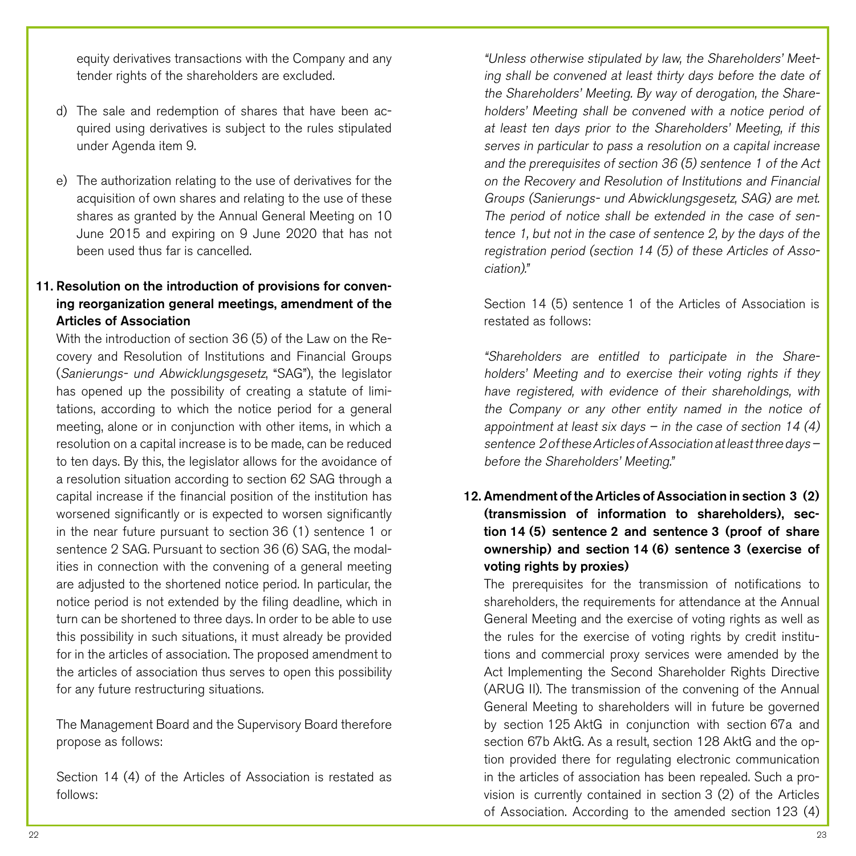equity derivatives transactions with the Company and any tender rights of the shareholders are excluded.

- d) The sale and redemption of shares that have been acquired using derivatives is subject to the rules stipulated under Agenda item 9.
- e) The authorization relating to the use of derivatives for the acquisition of own shares and relating to the use of these shares as granted by the Annual General Meeting on 10 June 2015 and expiring on 9 June 2020 that has not been used thus far is cancelled.

# 11. Resolution on the introduction of provisions for convening reorganization general meetings, amendment of the Articles of Association

With the introduction of section 36 (5) of the Law on the Recovery and Resolution of Institutions and Financial Groups (Sanierungs- und Abwicklungsgesetz, "SAG"), the legislator has opened up the possibility of creating a statute of limitations, according to which the notice period for a general meeting, alone or in conjunction with other items, in which a resolution on a capital increase is to be made, can be reduced to ten days. By this, the legislator allows for the avoidance of a resolution situation according to section 62 SAG through a capital increase if the financial position of the institution has worsened significantly or is expected to worsen significantly in the near future pursuant to section 36 (1) sentence 1 or sentence 2 SAG. Pursuant to section 36 (6) SAG, the modalities in connection with the convening of a general meeting are adjusted to the shortened notice period. In particular, the notice period is not extended by the filing deadline, which in turn can be shortened to three days. In order to be able to use this possibility in such situations, it must already be provided for in the articles of association. The proposed amendment to the articles of association thus serves to open this possibility for any future restructuring situations.

The Management Board and the Supervisory Board therefore propose as follows:

Section 14 (4) of the Articles of Association is restated as follows:

"Unless otherwise stipulated by law, the Shareholders' Meeting shall be convened at least thirty days before the date of the Shareholders' Meeting. By way of derogation, the Shareholders' Meeting shall be convened with a notice period of at least ten days prior to the Shareholders' Meeting, if this serves in particular to pass a resolution on a capital increase and the prerequisites of section 36 (5) sentence 1 of the Act on the Recovery and Resolution of Institutions and Financial Groups (Sanierungs- und Abwicklungsgesetz, SAG) are met. The period of notice shall be extended in the case of sentence 1, but not in the case of sentence 2, by the days of the registration period (section 14 (5) of these Articles of Association)."

Section 14 (5) sentence 1 of the Articles of Association is restated as follows:

"Shareholders are entitled to participate in the Shareholders' Meeting and to exercise their voting rights if they have registered, with evidence of their shareholdings, with the Company or any other entity named in the notice of appointment at least six days – in the case of section 14  $(4)$ sentence 2 of these Articles of Association at least three days – before the Shareholders' Meeting."

12. Amendment of the Articles of Association in section 3 (2) (transmission of information to shareholders), section 14 (5) sentence 2 and sentence 3 (proof of share ownership) and section 14 (6) sentence 3 (exercise of voting rights by proxies)

The prerequisites for the transmission of notifications to shareholders, the requirements for attendance at the Annual General Meeting and the exercise of voting rights as well as the rules for the exercise of voting rights by credit institutions and commercial proxy services were amended by the Act Implementing the Second Shareholder Rights Directive (ARUG II). The transmission of the convening of the Annual General Meeting to shareholders will in future be governed by section 125 AktG in conjunction with section 67a and section 67b AktG. As a result, section 128 AktG and the option provided there for regulating electronic communication in the articles of association has been repealed. Such a provision is currently contained in section 3 (2) of the Articles of Association. According to the amended section 123 (4)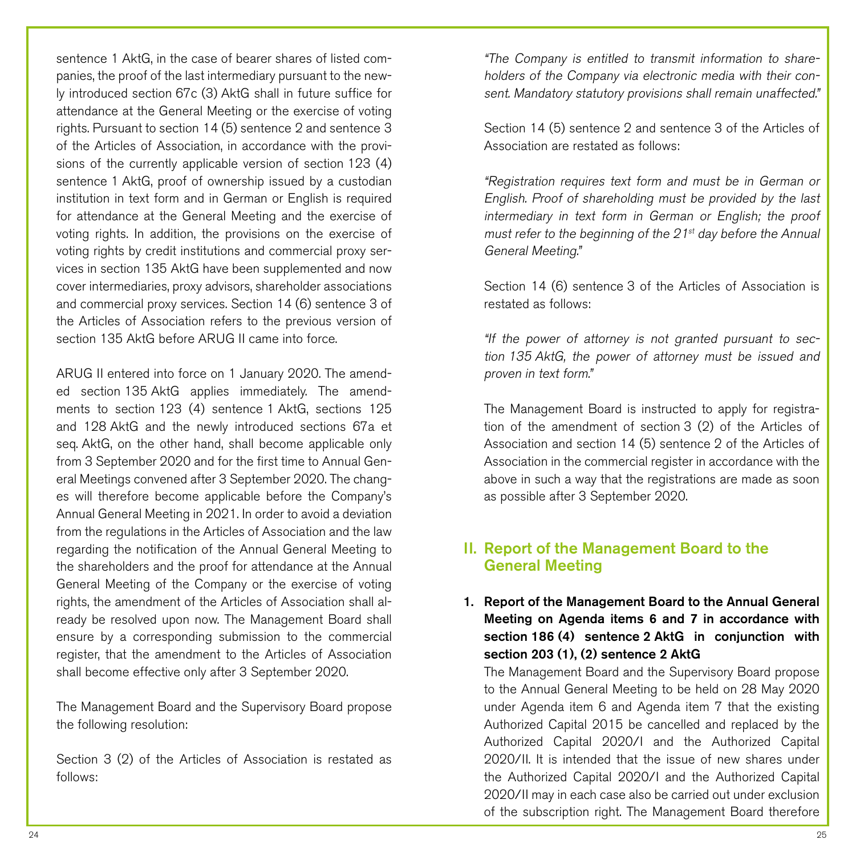sentence 1 AktG, in the case of bearer shares of listed companies, the proof of the last intermediary pursuant to the newly introduced section 67c (3) AktG shall in future suffice for attendance at the General Meeting or the exercise of voting rights. Pursuant to section 14 (5) sentence 2 and sentence 3 of the Articles of Association, in accordance with the provisions of the currently applicable version of section 123 (4) sentence 1 AktG, proof of ownership issued by a custodian institution in text form and in German or English is required for attendance at the General Meeting and the exercise of voting rights. In addition, the provisions on the exercise of voting rights by credit institutions and commercial proxy services in section 135 AktG have been supplemented and now cover intermediaries, proxy advisors, shareholder associations and commercial proxy services. Section 14 (6) sentence 3 of the Articles of Association refers to the previous version of section 135 AktG before ARUG II came into force.

ARUG II entered into force on 1 January 2020. The amended section 135 AktG applies immediately. The amendments to section 123 (4) sentence 1 AktG, sections 125 and 128 AktG and the newly introduced sections 67a et seq. AktG, on the other hand, shall become applicable only from 3 September 2020 and for the first time to Annual General Meetings convened after 3 September 2020. The changes will therefore become applicable before the Company's Annual General Meeting in 2021. In order to avoid a deviation from the regulations in the Articles of Association and the law regarding the notification of the Annual General Meeting to the shareholders and the proof for attendance at the Annual General Meeting of the Company or the exercise of voting rights, the amendment of the Articles of Association shall already be resolved upon now. The Management Board shall ensure by a corresponding submission to the commercial register, that the amendment to the Articles of Association shall become effective only after 3 September 2020.

The Management Board and the Supervisory Board propose the following resolution:

Section 3 (2) of the Articles of Association is restated as follows:

"The Company is entitled to transmit information to shareholders of the Company via electronic media with their consent. Mandatory statutory provisions shall remain unaffected."

Section 14 (5) sentence 2 and sentence 3 of the Articles of Association are restated as follows:

"Registration requires text form and must be in German or English. Proof of shareholding must be provided by the last intermediary in text form in German or English; the proof must refer to the beginning of the  $21^{st}$  day before the Annual General Meeting."

Section 14 (6) sentence 3 of the Articles of Association is restated as follows:

"If the power of attorney is not granted pursuant to section 135 AktG, the power of attorney must be issued and proven in text form."

The Management Board is instructed to apply for registration of the amendment of section 3 (2) of the Articles of Association and section 14 (5) sentence 2 of the Articles of Association in the commercial register in accordance with the above in such a way that the registrations are made as soon as possible after 3 September 2020.

# II. Report of the Management Board to the General Meeting

# 1. Report of the Management Board to the Annual General Meeting on Agenda items 6 and 7 in accordance with section 186 (4) sentence 2 AktG in conjunction with section 203 (1), (2) sentence 2 AktG

The Management Board and the Supervisory Board propose to the Annual General Meeting to be held on 28 May 2020 under Agenda item 6 and Agenda item 7 that the existing Authorized Capital 2015 be cancelled and replaced by the Authorized Capital 2020/I and the Authorized Capital 2020/II. It is intended that the issue of new shares under the Authorized Capital 2020/I and the Authorized Capital 2020/II may in each case also be carried out under exclusion of the subscription right. The Management Board therefore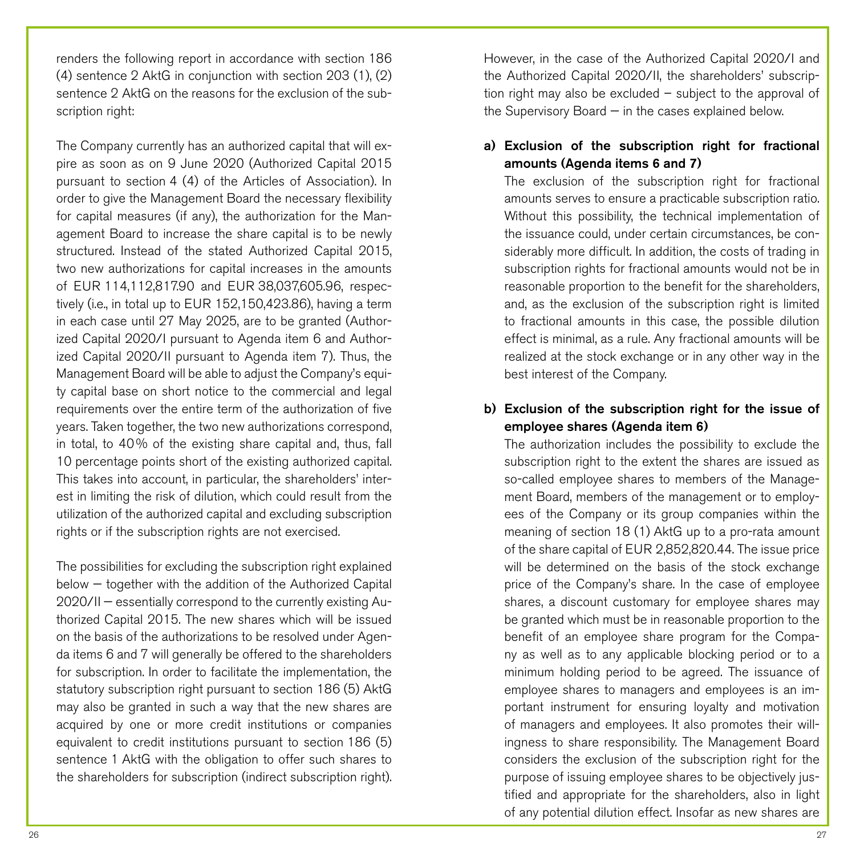renders the following report in accordance with section 186 (4) sentence 2 AktG in conjunction with section 203 (1), (2) sentence 2 AktG on the reasons for the exclusion of the subscription right:

The Company currently has an authorized capital that will expire as soon as on 9 June 2020 (Authorized Capital 2015 pursuant to section 4 (4) of the Articles of Association). In order to give the Management Board the necessary flexibility for capital measures (if any), the authorization for the Management Board to increase the share capital is to be newly structured. Instead of the stated Authorized Capital 2015, two new authorizations for capital increases in the amounts of EUR 114,112,817.90 and EUR 38,037,605.96, respectively (i.e., in total up to EUR 152,150,423.86), having a term in each case until 27 May 2025, are to be granted (Authorized Capital 2020/I pursuant to Agenda item 6 and Authorized Capital 2020/II pursuant to Agenda item 7). Thus, the Management Board will be able to adjust the Company's equity capital base on short notice to the commercial and legal requirements over the entire term of the authorization of five years. Taken together, the two new authorizations correspond, in total, to 40% of the existing share capital and, thus, fall 10 percentage points short of the existing authorized capital. This takes into account, in particular, the shareholders' interest in limiting the risk of dilution, which could result from the utilization of the authorized capital and excluding subscription rights or if the subscription rights are not exercised.

The possibilities for excluding the subscription right explained below — together with the addition of the Authorized Capital 2020/II — essentially correspond to the currently existing Authorized Capital 2015. The new shares which will be issued on the basis of the authorizations to be resolved under Agenda items 6 and 7 will generally be offered to the shareholders for subscription. In order to facilitate the implementation, the statutory subscription right pursuant to section 186 (5) AktG may also be granted in such a way that the new shares are acquired by one or more credit institutions or companies equivalent to credit institutions pursuant to section 186 (5) sentence 1 AktG with the obligation to offer such shares to the shareholders for subscription (indirect subscription right).

However, in the case of the Authorized Capital 2020/I and the Authorized Capital 2020/II, the shareholders' subscription right may also be excluded – subject to the approval of the Supervisory Board — in the cases explained below.

### a) Exclusion of the subscription right for fractional amounts (Agenda items 6 and 7)

The exclusion of the subscription right for fractional amounts serves to ensure a practicable subscription ratio. Without this possibility, the technical implementation of the issuance could, under certain circumstances, be considerably more difficult. In addition, the costs of trading in subscription rights for fractional amounts would not be in reasonable proportion to the benefit for the shareholders, and, as the exclusion of the subscription right is limited to fractional amounts in this case, the possible dilution effect is minimal, as a rule. Any fractional amounts will be realized at the stock exchange or in any other way in the best interest of the Company.

# b) Exclusion of the subscription right for the issue of employee shares (Agenda item 6)

The authorization includes the possibility to exclude the subscription right to the extent the shares are issued as so-called employee shares to members of the Management Board, members of the management or to employees of the Company or its group companies within the meaning of section 18 (1) AktG up to a pro-rata amount of the share capital of EUR 2,852,820.44. The issue price will be determined on the basis of the stock exchange price of the Company's share. In the case of employee shares, a discount customary for employee shares may be granted which must be in reasonable proportion to the benefit of an employee share program for the Company as well as to any applicable blocking period or to a minimum holding period to be agreed. The issuance of employee shares to managers and employees is an important instrument for ensuring loyalty and motivation of managers and employees. It also promotes their willingness to share responsibility. The Management Board considers the exclusion of the subscription right for the purpose of issuing employee shares to be objectively justified and appropriate for the shareholders, also in light of any potential dilution effect. Insofar as new shares are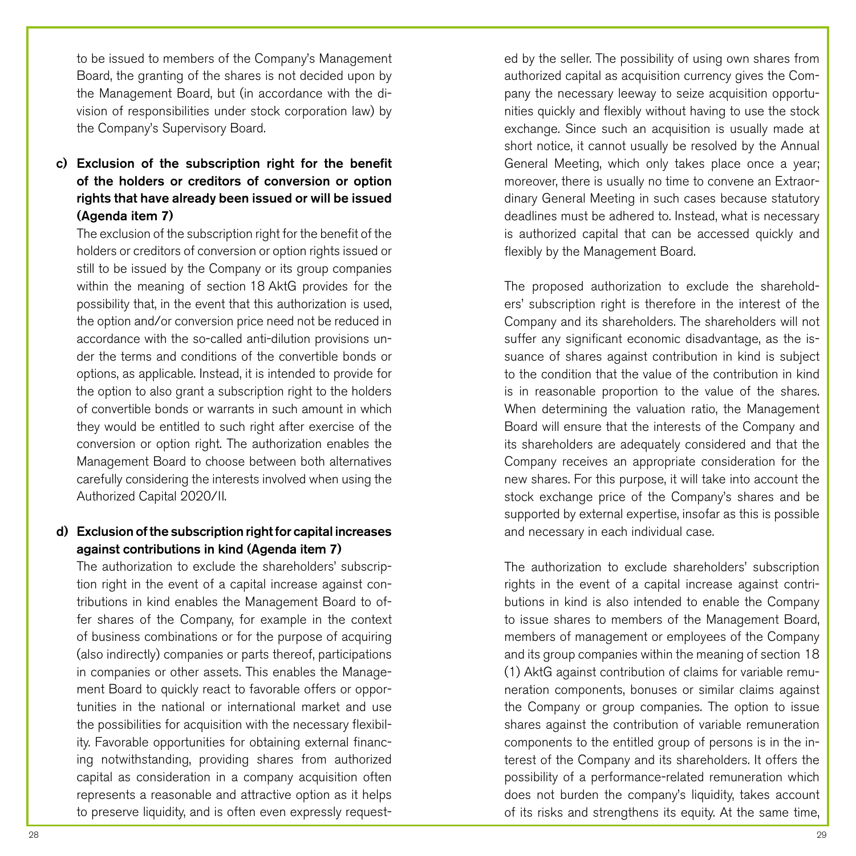to be issued to members of the Company's Management Board, the granting of the shares is not decided upon by the Management Board, but (in accordance with the division of responsibilities under stock corporation law) by the Company's Supervisory Board.

# c) Exclusion of the subscription right for the benefit of the holders or creditors of conversion or option rights that have already been issued or will be issued (Agenda item 7)

The exclusion of the subscription right for the benefit of the holders or creditors of conversion or option rights issued or still to be issued by the Company or its group companies within the meaning of section 18 AktG provides for the possibility that, in the event that this authorization is used, the option and/or conversion price need not be reduced in accordance with the so-called anti-dilution provisions under the terms and conditions of the convertible bonds or options, as applicable. Instead, it is intended to provide for the option to also grant a subscription right to the holders of convertible bonds or warrants in such amount in which they would be entitled to such right after exercise of the conversion or option right. The authorization enables the Management Board to choose between both alternatives carefully considering the interests involved when using the Authorized Capital 2020/II.

### d) Exclusion of the subscription right for capital increases against contributions in kind (Agenda item 7)

The authorization to exclude the shareholders' subscription right in the event of a capital increase against contributions in kind enables the Management Board to offer shares of the Company, for example in the context of business combinations or for the purpose of acquiring (also indirectly) companies or parts thereof, participations in companies or other assets. This enables the Management Board to quickly react to favorable offers or opportunities in the national or international market and use the possibilities for acquisition with the necessary flexibility. Favorable opportunities for obtaining external financing notwithstanding, providing shares from authorized capital as consideration in a company acquisition often represents a reasonable and attractive option as it helps to preserve liquidity, and is often even expressly requested by the seller. The possibility of using own shares from authorized capital as acquisition currency gives the Company the necessary leeway to seize acquisition opportunities quickly and flexibly without having to use the stock exchange. Since such an acquisition is usually made at short notice, it cannot usually be resolved by the Annual General Meeting, which only takes place once a year; moreover, there is usually no time to convene an Extraordinary General Meeting in such cases because statutory deadlines must be adhered to. Instead, what is necessary is authorized capital that can be accessed quickly and flexibly by the Management Board.

The proposed authorization to exclude the shareholders' subscription right is therefore in the interest of the Company and its shareholders. The shareholders will not suffer any significant economic disadvantage, as the issuance of shares against contribution in kind is subject to the condition that the value of the contribution in kind is in reasonable proportion to the value of the shares. When determining the valuation ratio, the Management Board will ensure that the interests of the Company and its shareholders are adequately considered and that the Company receives an appropriate consideration for the new shares. For this purpose, it will take into account the stock exchange price of the Company's shares and be supported by external expertise, insofar as this is possible and necessary in each individual case.

The authorization to exclude shareholders' subscription rights in the event of a capital increase against contributions in kind is also intended to enable the Company to issue shares to members of the Management Board, members of management or employees of the Company and its group companies within the meaning of section 18 (1) AktG against contribution of claims for variable remuneration components, bonuses or similar claims against the Company or group companies. The option to issue shares against the contribution of variable remuneration components to the entitled group of persons is in the interest of the Company and its shareholders. It offers the possibility of a performance-related remuneration which does not burden the company's liquidity, takes account of its risks and strengthens its equity. At the same time,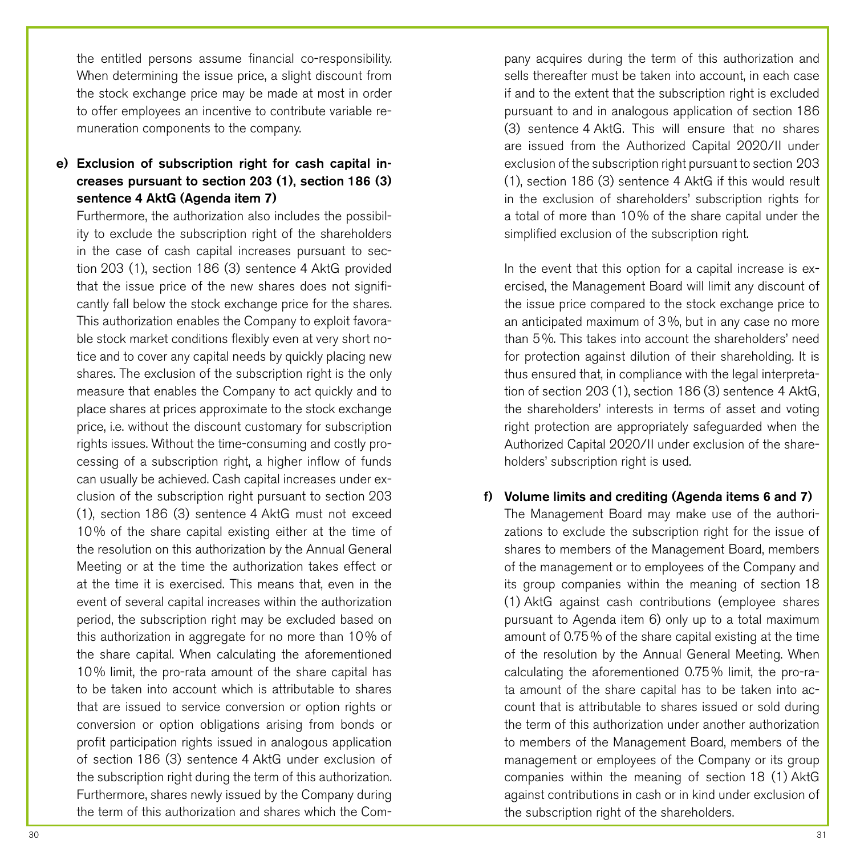the entitled persons assume financial co-responsibility. When determining the issue price, a slight discount from the stock exchange price may be made at most in order to offer employees an incentive to contribute variable remuneration components to the company.

# e) Exclusion of subscription right for cash capital increases pursuant to section 203 (1), section 186 (3) sentence 4 AktG (Agenda item 7)

Furthermore, the authorization also includes the possibility to exclude the subscription right of the shareholders in the case of cash capital increases pursuant to section 203 (1), section 186 (3) sentence 4 AktG provided that the issue price of the new shares does not significantly fall below the stock exchange price for the shares. This authorization enables the Company to exploit favorable stock market conditions flexibly even at very short notice and to cover any capital needs by quickly placing new shares. The exclusion of the subscription right is the only measure that enables the Company to act quickly and to place shares at prices approximate to the stock exchange price, i.e. without the discount customary for subscription rights issues. Without the time-consuming and costly processing of a subscription right, a higher inflow of funds can usually be achieved. Cash capital increases under exclusion of the subscription right pursuant to section 203 (1), section 186 (3) sentence 4 AktG must not exceed 10% of the share capital existing either at the time of the resolution on this authorization by the Annual General Meeting or at the time the authorization takes effect or at the time it is exercised. This means that, even in the event of several capital increases within the authorization period, the subscription right may be excluded based on this authorization in aggregate for no more than 10% of the share capital. When calculating the aforementioned 10% limit, the pro-rata amount of the share capital has to be taken into account which is attributable to shares that are issued to service conversion or option rights or conversion or option obligations arising from bonds or profit participation rights issued in analogous application of section 186 (3) sentence 4 AktG under exclusion of the subscription right during the term of this authorization. Furthermore, shares newly issued by the Company during the term of this authorization and shares which the Company acquires during the term of this authorization and sells thereafter must be taken into account, in each case if and to the extent that the subscription right is excluded pursuant to and in analogous application of section 186 (3) sentence 4 AktG. This will ensure that no shares are issued from the Authorized Capital 2020/II under exclusion of the subscription right pursuant to section 203 (1), section 186 (3) sentence 4 AktG if this would result in the exclusion of shareholders' subscription rights for a total of more than 10% of the share capital under the simplified exclusion of the subscription right.

In the event that this option for a capital increase is exercised, the Management Board will limit any discount of the issue price compared to the stock exchange price to an anticipated maximum of 3%, but in any case no more than 5%. This takes into account the shareholders' need for protection against dilution of their shareholding. It is thus ensured that, in compliance with the legal interpretation of section 203 (1), section 186 (3) sentence 4 AktG, the shareholders' interests in terms of asset and voting right protection are appropriately safeguarded when the Authorized Capital 2020/II under exclusion of the shareholders' subscription right is used.

f) Volume limits and crediting (Agenda items 6 and 7) The Management Board may make use of the authorizations to exclude the subscription right for the issue of shares to members of the Management Board, members of the management or to employees of the Company and its group companies within the meaning of section 18 (1) AktG against cash contributions (employee shares pursuant to Agenda item 6) only up to a total maximum amount of 0.75% of the share capital existing at the time of the resolution by the Annual General Meeting. When calculating the aforementioned 0.75% limit, the pro-rata amount of the share capital has to be taken into account that is attributable to shares issued or sold during the term of this authorization under another authorization to members of the Management Board, members of the management or employees of the Company or its group companies within the meaning of section 18 (1) AktG against contributions in cash or in kind under exclusion of the subscription right of the shareholders.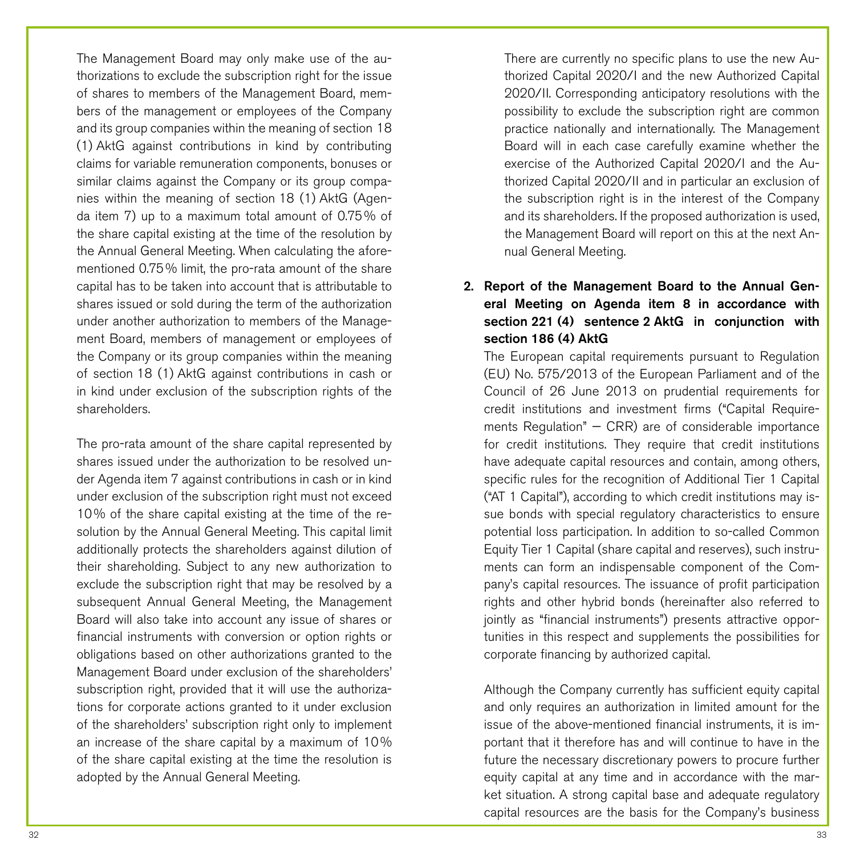The Management Board may only make use of the authorizations to exclude the subscription right for the issue of shares to members of the Management Board, members of the management or employees of the Company and its group companies within the meaning of section 18 (1) AktG against contributions in kind by contributing claims for variable remuneration components, bonuses or similar claims against the Company or its group companies within the meaning of section 18 (1) AktG (Agenda item 7) up to a maximum total amount of 0.75% of the share capital existing at the time of the resolution by the Annual General Meeting. When calculating the aforementioned 0.75% limit, the pro-rata amount of the share capital has to be taken into account that is attributable to shares issued or sold during the term of the authorization under another authorization to members of the Management Board, members of management or employees of the Company or its group companies within the meaning of section 18 (1) AktG against contributions in cash or in kind under exclusion of the subscription rights of the shareholders.

The pro-rata amount of the share capital represented by shares issued under the authorization to be resolved under Agenda item 7 against contributions in cash or in kind under exclusion of the subscription right must not exceed 10% of the share capital existing at the time of the resolution by the Annual General Meeting. This capital limit additionally protects the shareholders against dilution of their shareholding. Subject to any new authorization to exclude the subscription right that may be resolved by a subsequent Annual General Meeting, the Management Board will also take into account any issue of shares or financial instruments with conversion or option rights or obligations based on other authorizations granted to the Management Board under exclusion of the shareholders' subscription right, provided that it will use the authorizations for corporate actions granted to it under exclusion of the shareholders' subscription right only to implement an increase of the share capital by a maximum of 10% of the share capital existing at the time the resolution is adopted by the Annual General Meeting.

There are currently no specific plans to use the new Authorized Capital 2020/I and the new Authorized Capital 2020/II. Corresponding anticipatory resolutions with the possibility to exclude the subscription right are common practice nationally and internationally. The Management Board will in each case carefully examine whether the exercise of the Authorized Capital 2020/I and the Authorized Capital 2020/II and in particular an exclusion of the subscription right is in the interest of the Company and its shareholders. If the proposed authorization is used, the Management Board will report on this at the next Annual General Meeting.

# 2. Report of the Management Board to the Annual General Meeting on Agenda item 8 in accordance with section 221 (4) sentence 2 AktG in conjunction with section 186 (4) AktG

The European capital requirements pursuant to Regulation (EU) No. 575/2013 of the European Parliament and of the Council of 26 June 2013 on prudential requirements for credit institutions and investment firms ("Capital Requirements Regulation"  $-$  CRR) are of considerable importance for credit institutions. They require that credit institutions have adequate capital resources and contain, among others, specific rules for the recognition of Additional Tier 1 Capital ("AT 1 Capital"), according to which credit institutions may issue bonds with special regulatory characteristics to ensure potential loss participation. In addition to so-called Common Equity Tier 1 Capital (share capital and reserves), such instruments can form an indispensable component of the Company's capital resources. The issuance of profit participation rights and other hybrid bonds (hereinafter also referred to jointly as "financial instruments") presents attractive opportunities in this respect and supplements the possibilities for corporate financing by authorized capital.

Although the Company currently has sufficient equity capital and only requires an authorization in limited amount for the issue of the above-mentioned financial instruments, it is important that it therefore has and will continue to have in the future the necessary discretionary powers to procure further equity capital at any time and in accordance with the market situation. A strong capital base and adequate regulatory capital resources are the basis for the Company's business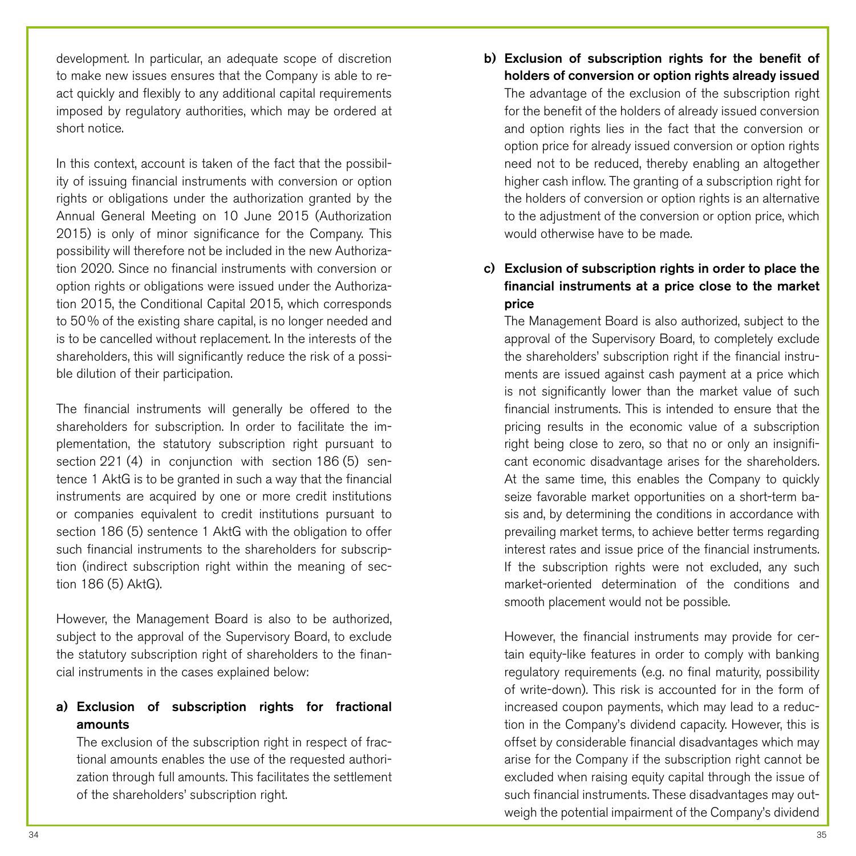development. In particular, an adequate scope of discretion to make new issues ensures that the Company is able to react quickly and flexibly to any additional capital requirements imposed by regulatory authorities, which may be ordered at short notice.

In this context, account is taken of the fact that the possibility of issuing financial instruments with conversion or option rights or obligations under the authorization granted by the Annual General Meeting on 10 June 2015 (Authorization 2015) is only of minor significance for the Company. This possibility will therefore not be included in the new Authorization 2020. Since no financial instruments with conversion or option rights or obligations were issued under the Authorization 2015, the Conditional Capital 2015, which corresponds to 50% of the existing share capital, is no longer needed and is to be cancelled without replacement. In the interests of the shareholders, this will significantly reduce the risk of a possible dilution of their participation.

The financial instruments will generally be offered to the shareholders for subscription. In order to facilitate the implementation, the statutory subscription right pursuant to section 221 (4) in conjunction with section 186 (5) sentence 1 AktG is to be granted in such a way that the financial instruments are acquired by one or more credit institutions or companies equivalent to credit institutions pursuant to section 186 (5) sentence 1 AktG with the obligation to offer such financial instruments to the shareholders for subscription (indirect subscription right within the meaning of section 186 (5) AktG).

However, the Management Board is also to be authorized, subject to the approval of the Supervisory Board, to exclude the statutory subscription right of shareholders to the financial instruments in the cases explained below:

# a) Exclusion of subscription rights for fractional amounts

The exclusion of the subscription right in respect of fractional amounts enables the use of the requested authorization through full amounts. This facilitates the settlement of the shareholders' subscription right.

b) Exclusion of subscription rights for the benefit of holders of conversion or option rights already issued The advantage of the exclusion of the subscription right for the benefit of the holders of already issued conversion and option rights lies in the fact that the conversion or option price for already issued conversion or option rights need not to be reduced, thereby enabling an altogether higher cash inflow. The granting of a subscription right for the holders of conversion or option rights is an alternative to the adjustment of the conversion or option price, which would otherwise have to be made.

# c) Exclusion of subscription rights in order to place the financial instruments at a price close to the market price

The Management Board is also authorized, subject to the approval of the Supervisory Board, to completely exclude the shareholders' subscription right if the financial instruments are issued against cash payment at a price which is not significantly lower than the market value of such financial instruments. This is intended to ensure that the pricing results in the economic value of a subscription right being close to zero, so that no or only an insignificant economic disadvantage arises for the shareholders. At the same time, this enables the Company to quickly seize favorable market opportunities on a short-term basis and, by determining the conditions in accordance with prevailing market terms, to achieve better terms regarding interest rates and issue price of the financial instruments. If the subscription rights were not excluded, any such market-oriented determination of the conditions and smooth placement would not be possible.

However, the financial instruments may provide for certain equity-like features in order to comply with banking regulatory requirements (e.g. no final maturity, possibility of write-down). This risk is accounted for in the form of increased coupon payments, which may lead to a reduction in the Company's dividend capacity. However, this is offset by considerable financial disadvantages which may arise for the Company if the subscription right cannot be excluded when raising equity capital through the issue of such financial instruments. These disadvantages may outweigh the potential impairment of the Company's dividend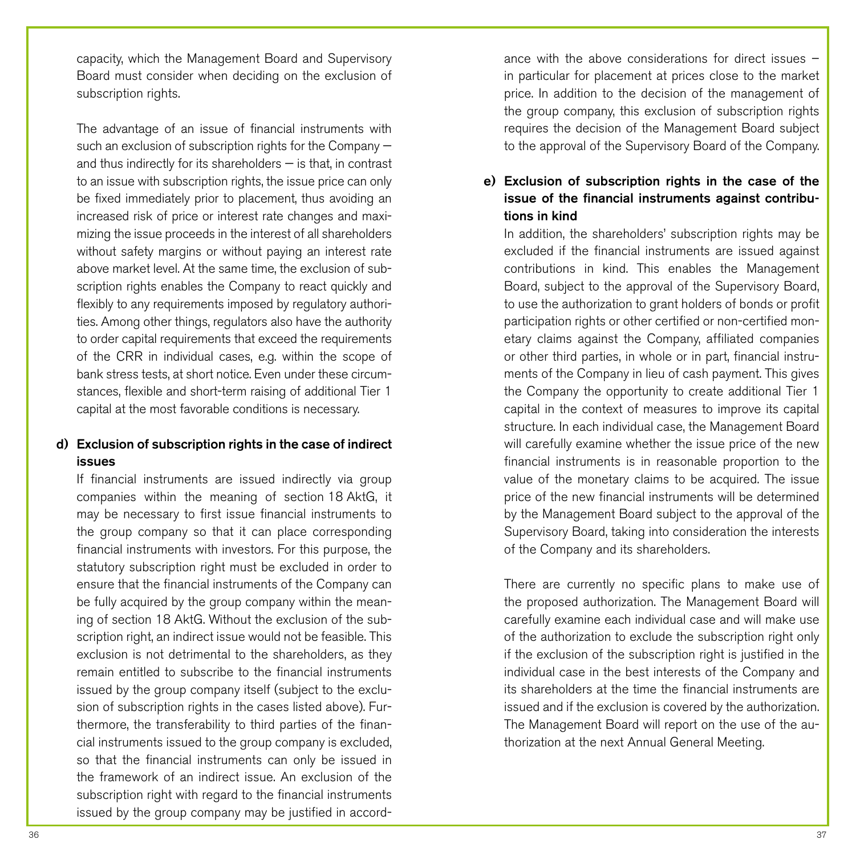capacity, which the Management Board and Supervisory Board must consider when deciding on the exclusion of subscription rights.

The advantage of an issue of financial instruments with such an exclusion of subscription rights for the Company and thus indirectly for its shareholders — is that, in contrast to an issue with subscription rights, the issue price can only be fixed immediately prior to placement, thus avoiding an increased risk of price or interest rate changes and maximizing the issue proceeds in the interest of all shareholders without safety margins or without paying an interest rate above market level. At the same time, the exclusion of subscription rights enables the Company to react quickly and flexibly to any requirements imposed by requlatory authorities. Among other things, regulators also have the authority to order capital requirements that exceed the requirements of the CRR in individual cases, e.g. within the scope of bank stress tests, at short notice. Even under these circumstances, flexible and short-term raising of additional Tier 1 capital at the most favorable conditions is necessary.

# d) Exclusion of subscription rights in the case of indirect issues

If financial instruments are issued indirectly via group companies within the meaning of section 18 AktG, it may be necessary to first issue financial instruments to the group company so that it can place corresponding financial instruments with investors. For this purpose, the statutory subscription right must be excluded in order to ensure that the financial instruments of the Company can be fully acquired by the group company within the meaning of section 18 AktG. Without the exclusion of the subscription right, an indirect issue would not be feasible. This exclusion is not detrimental to the shareholders, as they remain entitled to subscribe to the financial instruments issued by the group company itself (subject to the exclusion of subscription rights in the cases listed above). Furthermore, the transferability to third parties of the financial instruments issued to the group company is excluded, so that the financial instruments can only be issued in the framework of an indirect issue. An exclusion of the subscription right with regard to the financial instruments issued by the group company may be justified in accord-

ance with the above considerations for direct issues – in particular for placement at prices close to the market price. In addition to the decision of the management of the group company, this exclusion of subscription rights requires the decision of the Management Board subject to the approval of the Supervisory Board of the Company.

# e) Exclusion of subscription rights in the case of the issue of the financial instruments against contributions in kind

In addition, the shareholders' subscription rights may be excluded if the financial instruments are issued against contributions in kind. This enables the Management Board, subject to the approval of the Supervisory Board, to use the authorization to grant holders of bonds or profit participation rights or other certified or non-certified monetary claims against the Company, affiliated companies or other third parties, in whole or in part, financial instruments of the Company in lieu of cash payment. This gives the Company the opportunity to create additional Tier 1 capital in the context of measures to improve its capital structure. In each individual case, the Management Board will carefully examine whether the issue price of the new financial instruments is in reasonable proportion to the value of the monetary claims to be acquired. The issue price of the new financial instruments will be determined by the Management Board subject to the approval of the Supervisory Board, taking into consideration the interests of the Company and its shareholders.

There are currently no specific plans to make use of the proposed authorization. The Management Board will carefully examine each individual case and will make use of the authorization to exclude the subscription right only if the exclusion of the subscription right is justified in the individual case in the best interests of the Company and its shareholders at the time the financial instruments are issued and if the exclusion is covered by the authorization. The Management Board will report on the use of the authorization at the next Annual General Meeting.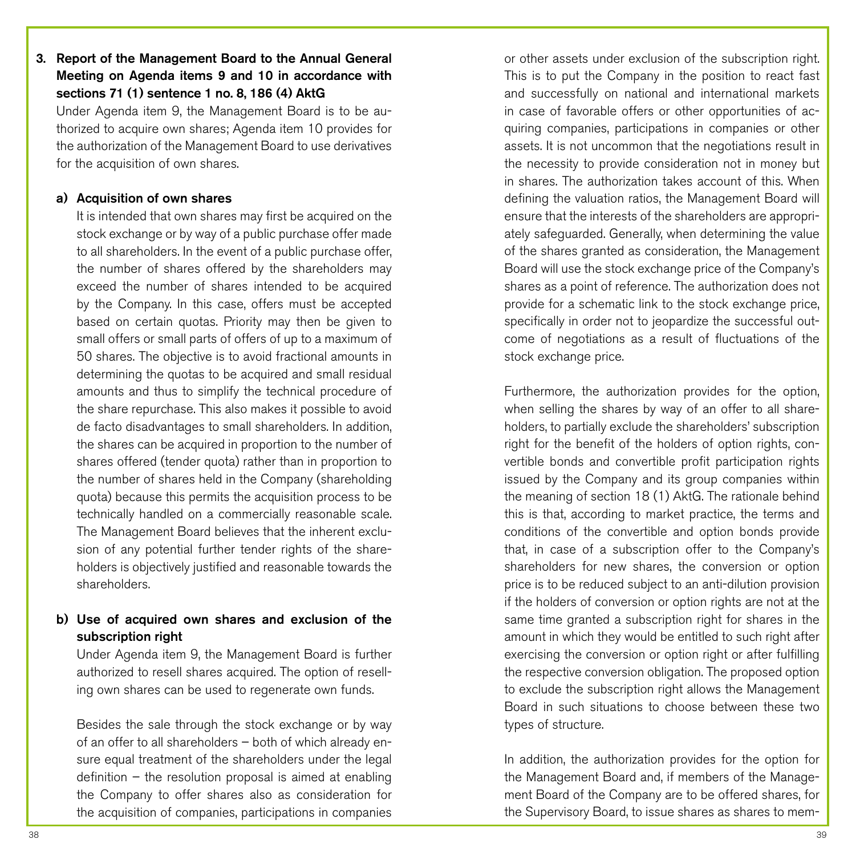# 3. Report of the Management Board to the Annual General Meeting on Agenda items 9 and 10 in accordance with sections 71 (1) sentence 1 no. 8, 186 (4) AktG

Under Agenda item 9, the Management Board is to be authorized to acquire own shares; Agenda item 10 provides for the authorization of the Management Board to use derivatives for the acquisition of own shares.

### a) Acquisition of own shares

It is intended that own shares may first be acquired on the stock exchange or by way of a public purchase offer made to all shareholders. In the event of a public purchase offer, the number of shares offered by the shareholders may exceed the number of shares intended to be acquired by the Company. In this case, offers must be accepted based on certain quotas. Priority may then be given to small offers or small parts of offers of up to a maximum of 50 shares. The objective is to avoid fractional amounts in determining the quotas to be acquired and small residual amounts and thus to simplify the technical procedure of the share repurchase. This also makes it possible to avoid de facto disadvantages to small shareholders. In addition, the shares can be acquired in proportion to the number of shares offered (tender quota) rather than in proportion to the number of shares held in the Company (shareholding quota) because this permits the acquisition process to be technically handled on a commercially reasonable scale. The Management Board believes that the inherent exclusion of any potential further tender rights of the shareholders is objectively justified and reasonable towards the shareholders.

### b) Use of acquired own shares and exclusion of the subscription right

Under Agenda item 9, the Management Board is further authorized to resell shares acquired. The option of reselling own shares can be used to regenerate own funds.

Besides the sale through the stock exchange or by way of an offer to all shareholders – both of which already ensure equal treatment of the shareholders under the legal definition – the resolution proposal is aimed at enabling the Company to offer shares also as consideration for the acquisition of companies, participations in companies or other assets under exclusion of the subscription right. This is to put the Company in the position to react fast and successfully on national and international markets in case of favorable offers or other opportunities of acquiring companies, participations in companies or other assets. It is not uncommon that the negotiations result in the necessity to provide consideration not in money but in shares. The authorization takes account of this. When defining the valuation ratios, the Management Board will ensure that the interests of the shareholders are appropriately safeguarded. Generally, when determining the value of the shares granted as consideration, the Management Board will use the stock exchange price of the Company's shares as a point of reference. The authorization does not provide for a schematic link to the stock exchange price, specifically in order not to jeopardize the successful outcome of negotiations as a result of fluctuations of the stock exchange price.

Furthermore, the authorization provides for the option, when selling the shares by way of an offer to all shareholders, to partially exclude the shareholders' subscription right for the benefit of the holders of option rights, convertible bonds and convertible profit participation rights issued by the Company and its group companies within the meaning of section 18 (1) AktG. The rationale behind this is that, according to market practice, the terms and conditions of the convertible and option bonds provide that, in case of a subscription offer to the Company's shareholders for new shares, the conversion or option price is to be reduced subject to an anti-dilution provision if the holders of conversion or option rights are not at the same time granted a subscription right for shares in the amount in which they would be entitled to such right after exercising the conversion or option right or after fulfilling the respective conversion obligation. The proposed option to exclude the subscription right allows the Management Board in such situations to choose between these two types of structure.

In addition, the authorization provides for the option for the Management Board and, if members of the Management Board of the Company are to be offered shares, for the Supervisory Board, to issue shares as shares to mem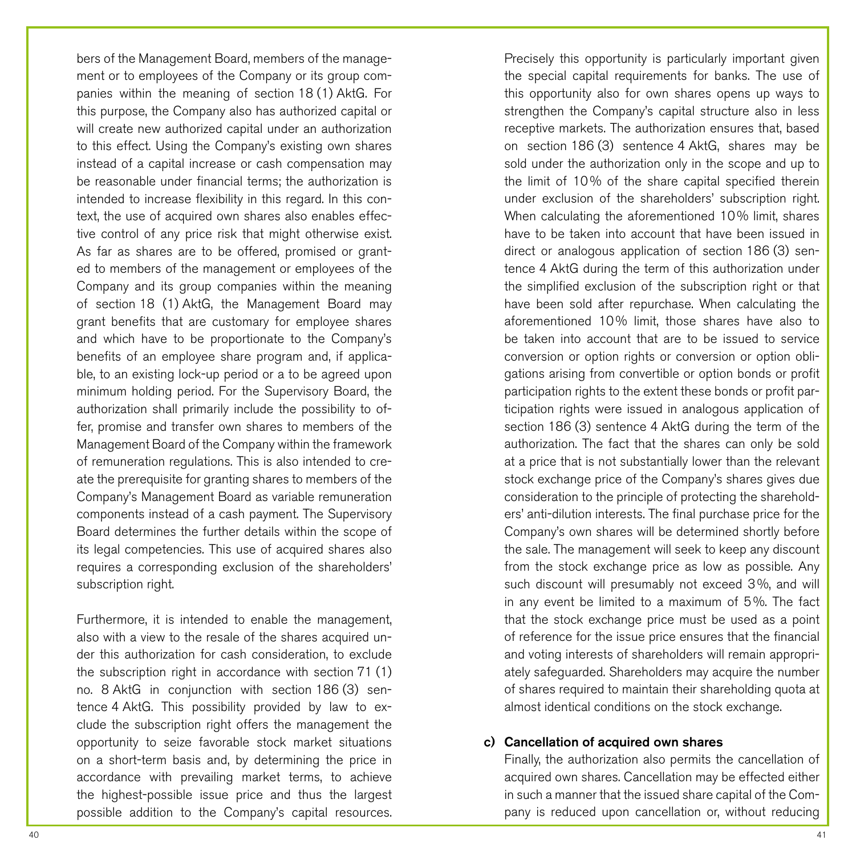bers of the Management Board, members of the management or to employees of the Company or its group companies within the meaning of section 18 (1) AktG. For this purpose, the Company also has authorized capital or will create new authorized capital under an authorization to this effect. Using the Company's existing own shares instead of a capital increase or cash compensation may be reasonable under financial terms; the authorization is intended to increase flexibility in this regard. In this context, the use of acquired own shares also enables effective control of any price risk that might otherwise exist. As far as shares are to be offered, promised or granted to members of the management or employees of the Company and its group companies within the meaning of section 18 (1) AktG, the Management Board may grant benefits that are customary for employee shares and which have to be proportionate to the Company's benefits of an employee share program and, if applicable, to an existing lock-up period or a to be agreed upon minimum holding period. For the Supervisory Board, the authorization shall primarily include the possibility to offer, promise and transfer own shares to members of the Management Board of the Company within the framework of remuneration regulations. This is also intended to create the prerequisite for granting shares to members of the Company's Management Board as variable remuneration components instead of a cash payment. The Supervisory Board determines the further details within the scope of its legal competencies. This use of acquired shares also requires a corresponding exclusion of the shareholders' subscription right.

Furthermore, it is intended to enable the management, also with a view to the resale of the shares acquired under this authorization for cash consideration, to exclude the subscription right in accordance with section 71 (1) no. 8 AktG in conjunction with section 186 (3) sentence 4 AktG. This possibility provided by law to exclude the subscription right offers the management the opportunity to seize favorable stock market situations on a short-term basis and, by determining the price in accordance with prevailing market terms, to achieve the highest-possible issue price and thus the largest possible addition to the Company's capital resources.

Precisely this opportunity is particularly important given the special capital requirements for banks. The use of this opportunity also for own shares opens up ways to strengthen the Company's capital structure also in less receptive markets. The authorization ensures that, based on section 186 (3) sentence 4 AktG, shares may be sold under the authorization only in the scope and up to the limit of 10% of the share capital specified therein under exclusion of the shareholders' subscription right. When calculating the aforementioned 10% limit, shares have to be taken into account that have been issued in direct or analogous application of section 186 (3) sentence 4 AktG during the term of this authorization under the simplified exclusion of the subscription right or that have been sold after repurchase. When calculating the aforementioned 10% limit, those shares have also to be taken into account that are to be issued to service conversion or option rights or conversion or option obligations arising from convertible or option bonds or profit participation rights to the extent these bonds or profit participation rights were issued in analogous application of section 186 (3) sentence 4 AktG during the term of the authorization. The fact that the shares can only be sold at a price that is not substantially lower than the relevant stock exchange price of the Company's shares gives due consideration to the principle of protecting the shareholders' anti-dilution interests. The final purchase price for the Company's own shares will be determined shortly before the sale. The management will seek to keep any discount from the stock exchange price as low as possible. Any such discount will presumably not exceed 3%, and will in any event be limited to a maximum of 5%. The fact that the stock exchange price must be used as a point of reference for the issue price ensures that the financial and voting interests of shareholders will remain appropriately safeguarded. Shareholders may acquire the number of shares required to maintain their shareholding quota at almost identical conditions on the stock exchange.

### c) Cancellation of acquired own shares

Finally, the authorization also permits the cancellation of acquired own shares. Cancellation may be effected either in such a manner that the issued share capital of the Company is reduced upon cancellation or, without reducing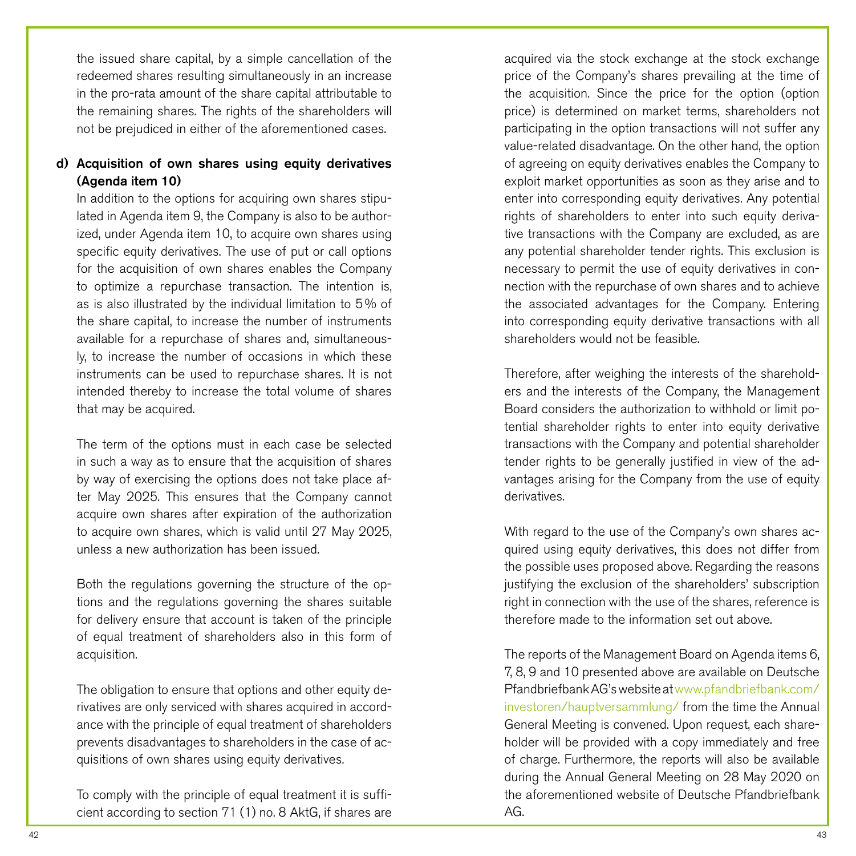the issued share capital, by a simple cancellation of the redeemed shares resulting simultaneously in an increase in the pro-rata amount of the share capital attributable to the remaining shares. The rights of the shareholders will not be prejudiced in either of the aforementioned cases.

# d) Acquisition of own shares using equity derivatives (Agenda item 10)

In addition to the options for acquiring own shares stipulated in Agenda item 9, the Company is also to be authorized, under Agenda item 10, to acquire own shares using specific equity derivatives. The use of put or call options for the acquisition of own shares enables the Company to optimize a repurchase transaction. The intention is, as is also illustrated by the individual limitation to 5% of the share capital, to increase the number of instruments available for a repurchase of shares and, simultaneously, to increase the number of occasions in which these instruments can be used to repurchase shares. It is not intended thereby to increase the total volume of shares that may be acquired.

The term of the options must in each case be selected in such a way as to ensure that the acquisition of shares by way of exercising the options does not take place after May 2025. This ensures that the Company cannot acquire own shares after expiration of the authorization to acquire own shares, which is valid until 27 May 2025, unless a new authorization has been issued.

Both the regulations governing the structure of the options and the regulations governing the shares suitable for delivery ensure that account is taken of the principle of equal treatment of shareholders also in this form of acquisition.

The obligation to ensure that options and other equity derivatives are only serviced with shares acquired in accordance with the principle of equal treatment of shareholders prevents disadvantages to shareholders in the case of acquisitions of own shares using equity derivatives.

To comply with the principle of equal treatment it is sufficient according to section 71 (1) no. 8 AktG, if shares are acquired via the stock exchange at the stock exchange price of the Company's shares prevailing at the time of the acquisition. Since the price for the option (option price) is determined on market terms, shareholders not participating in the option transactions will not suffer any value-related disadvantage. On the other hand, the option of agreeing on equity derivatives enables the Company to exploit market opportunities as soon as they arise and to enter into corresponding equity derivatives. Any potential rights of shareholders to enter into such equity derivative transactions with the Company are excluded, as are any potential shareholder tender rights. This exclusion is necessary to permit the use of equity derivatives in connection with the repurchase of own shares and to achieve the associated advantages for the Company. Entering into corresponding equity derivative transactions with all shareholders would not be feasible.

Therefore, after weighing the interests of the shareholders and the interests of the Company, the Management Board considers the authorization to withhold or limit potential shareholder rights to enter into equity derivative transactions with the Company and potential shareholder tender rights to be generally justified in view of the advantages arising for the Company from the use of equity derivatives.

With regard to the use of the Company's own shares acquired using equity derivatives, this does not differ from the possible uses proposed above. Regarding the reasons justifying the exclusion of the shareholders' subscription right in connection with the use of the shares, reference is therefore made to the information set out above.

The reports of the Management Board on Agenda items 6, 7, 8, 9 and 10 presented above are available on Deutsche Pfandbriefbank AG's website at [www.pfandbriefbank.com/](http://www.pfandbriefbank.com/investoren/hauptversammlung/) [investoren/hauptversammlung/](http://www.pfandbriefbank.com/investoren/hauptversammlung/) from the time the Annual General Meeting is convened. Upon request, each shareholder will be provided with a copy immediately and free of charge. Furthermore, the reports will also be available during the Annual General Meeting on 28 May 2020 on the aforementioned website of Deutsche Pfandbriefbank AG.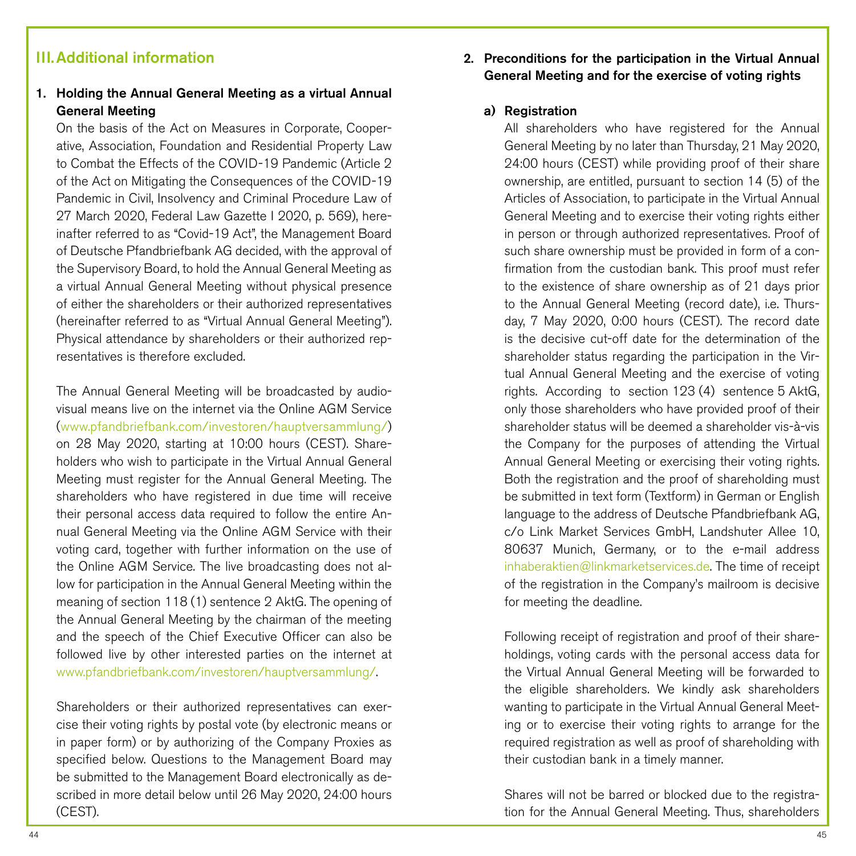# III.Additional information

## 1. Holding the Annual General Meeting as a virtual Annual General Meeting

On the basis of the Act on Measures in Corporate, Cooperative, Association, Foundation and Residential Property Law to Combat the Effects of the COVID-19 Pandemic (Article 2 of the Act on Mitigating the Consequences of the COVID-19 Pandemic in Civil, Insolvency and Criminal Procedure Law of 27 March 2020, Federal Law Gazette I 2020, p. 569), hereinafter referred to as "Covid-19 Act", the Management Board of Deutsche Pfandbriefbank AG decided, with the approval of the Supervisory Board, to hold the Annual General Meeting as a virtual Annual General Meeting without physical presence of either the shareholders or their authorized representatives (hereinafter referred to as "Virtual Annual General Meeting"). Physical attendance by shareholders or their authorized representatives is therefore excluded.

The Annual General Meeting will be broadcasted by audiovisual means live on the internet via the Online AGM Service [\(www.pfandbriefbank.com/investoren/hauptversammlung/\)](http://www.pfandbriefbank.com/investoren/hauptversammlung/) on 28 May 2020, starting at 10:00 hours (CEST). Shareholders who wish to participate in the Virtual Annual General Meeting must register for the Annual General Meeting. The shareholders who have registered in due time will receive their personal access data required to follow the entire Annual General Meeting via the Online AGM Service with their voting card, together with further information on the use of the Online AGM Service. The live broadcasting does not allow for participation in the Annual General Meeting within the meaning of section 118 (1) sentence 2 AktG. The opening of the Annual General Meeting by the chairman of the meeting and the speech of the Chief Executive Officer can also be followed live by other interested parties on the internet at [www.pfandbriefbank.com/investoren/hauptversammlung/.](http://www.pfandbriefbank.com/investoren/hauptversammlung/)

Shareholders or their authorized representatives can exercise their voting rights by postal vote (by electronic means or in paper form) or by authorizing of the Company Proxies as specified below. Questions to the Management Board may be submitted to the Management Board electronically as described in more detail below until 26 May 2020, 24:00 hours (CEST).

# 2. Preconditions for the participation in the Virtual Annual General Meeting and for the exercise of voting rights

### a) Registration

All shareholders who have registered for the Annual General Meeting by no later than Thursday, 21 May 2020, 24:00 hours (CEST) while providing proof of their share ownership, are entitled, pursuant to section 14 (5) of the Articles of Association, to participate in the Virtual Annual General Meeting and to exercise their voting rights either in person or through authorized representatives. Proof of such share ownership must be provided in form of a confirmation from the custodian bank. This proof must refer to the existence of share ownership as of 21 days prior to the Annual General Meeting (record date), i.e. Thursday, 7 May 2020, 0:00 hours (CEST). The record date is the decisive cut-off date for the determination of the shareholder status regarding the participation in the Virtual Annual General Meeting and the exercise of voting rights. According to section 123 (4) sentence 5 AktG, only those shareholders who have provided proof of their shareholder status will be deemed a shareholder vis-à-vis the Company for the purposes of attending the Virtual Annual General Meeting or exercising their voting rights. Both the registration and the proof of shareholding must be submitted in text form (Textform) in German or English language to the address of Deutsche Pfandbriefbank AG, c/o Link Market Services GmbH, Landshuter Allee 10, 80637 Munich, Germany, or to the e-mail address [inhaberaktien@linkmarketservices.de.](mailto:inhaberaktien%40linkmarketservices.de?subject=) The time of receipt of the registration in the Company's mailroom is decisive for meeting the deadline.

Following receipt of registration and proof of their shareholdings, voting cards with the personal access data for the Virtual Annual General Meeting will be forwarded to the eligible shareholders. We kindly ask shareholders wanting to participate in the Virtual Annual General Meeting or to exercise their voting rights to arrange for the required registration as well as proof of shareholding with their custodian bank in a timely manner.

Shares will not be barred or blocked due to the registration for the Annual General Meeting. Thus, shareholders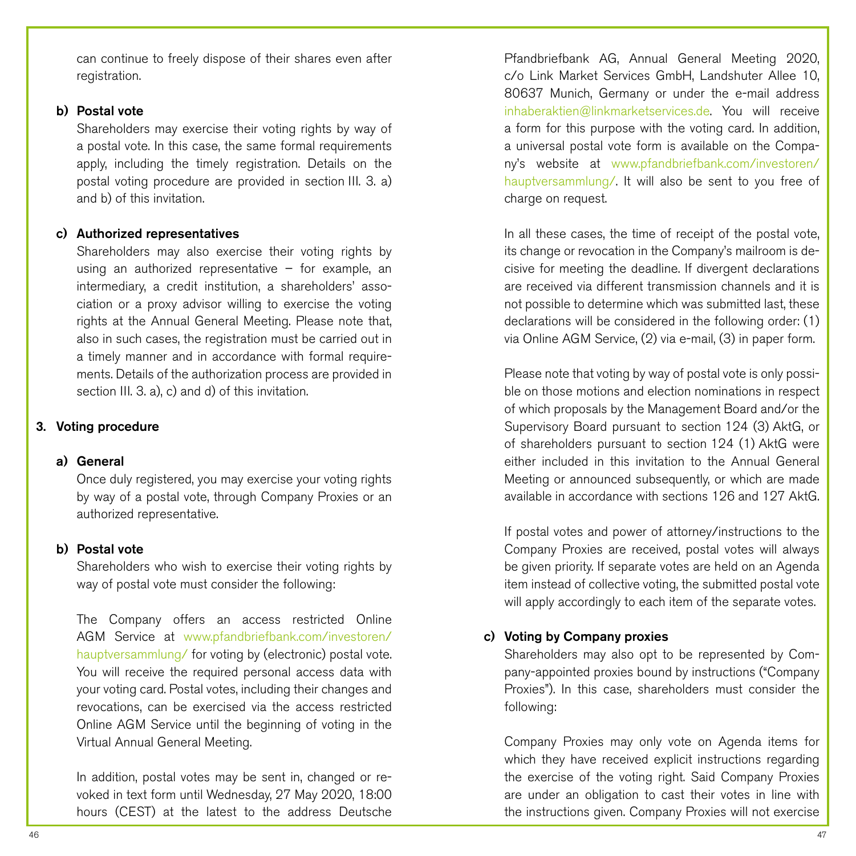can continue to freely dispose of their shares even after registration.

### b) Postal vote

Shareholders may exercise their voting rights by way of a postal vote. In this case, the same formal requirements apply, including the timely registration. Details on the postal voting procedure are provided in section III. 3. a) and b) of this invitation.

#### c) Authorized representatives

Shareholders may also exercise their voting rights by using an authorized representative – for example, an intermediary, a credit institution, a shareholders' association or a proxy advisor willing to exercise the voting rights at the Annual General Meeting. Please note that, also in such cases, the registration must be carried out in a timely manner and in accordance with formal requirements. Details of the authorization process are provided in section III. 3, a), c) and d) of this invitation.

### 3. Voting procedure

### a) General

Once duly registered, you may exercise your voting rights by way of a postal vote, through Company Proxies or an authorized representative.

### b) Postal vote

Shareholders who wish to exercise their voting rights by way of postal vote must consider the following:

The Company offers an access restricted Online AGM Service at [www.pfandbriefbank.com/investoren/](http://www.pfandbriefbank.com/investoren/hauptversammlung/) [hauptversammlung/](http://www.pfandbriefbank.com/investoren/hauptversammlung/) for voting by (electronic) postal vote. You will receive the required personal access data with your voting card. Postal votes, including their changes and revocations, can be exercised via the access restricted Online AGM Service until the beginning of voting in the Virtual Annual General Meeting.

In addition, postal votes may be sent in, changed or revoked in text form until Wednesday, 27 May 2020, 18:00 hours (CEST) at the latest to the address Deutsche

Pfandbriefbank AG, Annual General Meeting 2020, c/o Link Market Services GmbH, Landshuter Allee 10, 80637 Munich, Germany or under the e-mail address [inhaberaktien@linkmarketservices.de.](mailto:inhaberaktien%40linkmarketservices.de?subject=) You will receive a form for this purpose with the voting card. In addition, a universal postal vote form is available on the Company's website at [www.pfandbriefbank.com/investoren/](http://www.pfandbriefbank.com/investoren/hauptversammlung/) [hauptversammlung/](http://www.pfandbriefbank.com/investoren/hauptversammlung/). It will also be sent to you free of charge on request.

In all these cases, the time of receipt of the postal vote, its change or revocation in the Company's mailroom is decisive for meeting the deadline. If divergent declarations are received via different transmission channels and it is not possible to determine which was submitted last, these declarations will be considered in the following order: (1) via Online AGM Service, (2) via e-mail, (3) in paper form.

Please note that voting by way of postal vote is only possible on those motions and election nominations in respect of which proposals by the Management Board and/or the Supervisory Board pursuant to section 124 (3) AktG, or of shareholders pursuant to section 124 (1) AktG were either included in this invitation to the Annual General Meeting or announced subsequently, or which are made available in accordance with sections 126 and 127 AktG.

If postal votes and power of attorney/instructions to the Company Proxies are received, postal votes will always be given priority. If separate votes are held on an Agenda item instead of collective voting, the submitted postal vote will apply accordingly to each item of the separate votes.

### c) Voting by Company proxies

Shareholders may also opt to be represented by Company-appointed proxies bound by instructions ("Company Proxies"). In this case, shareholders must consider the following:

Company Proxies may only vote on Agenda items for which they have received explicit instructions regarding the exercise of the voting right. Said Company Proxies are under an obligation to cast their votes in line with the instructions given. Company Proxies will not exercise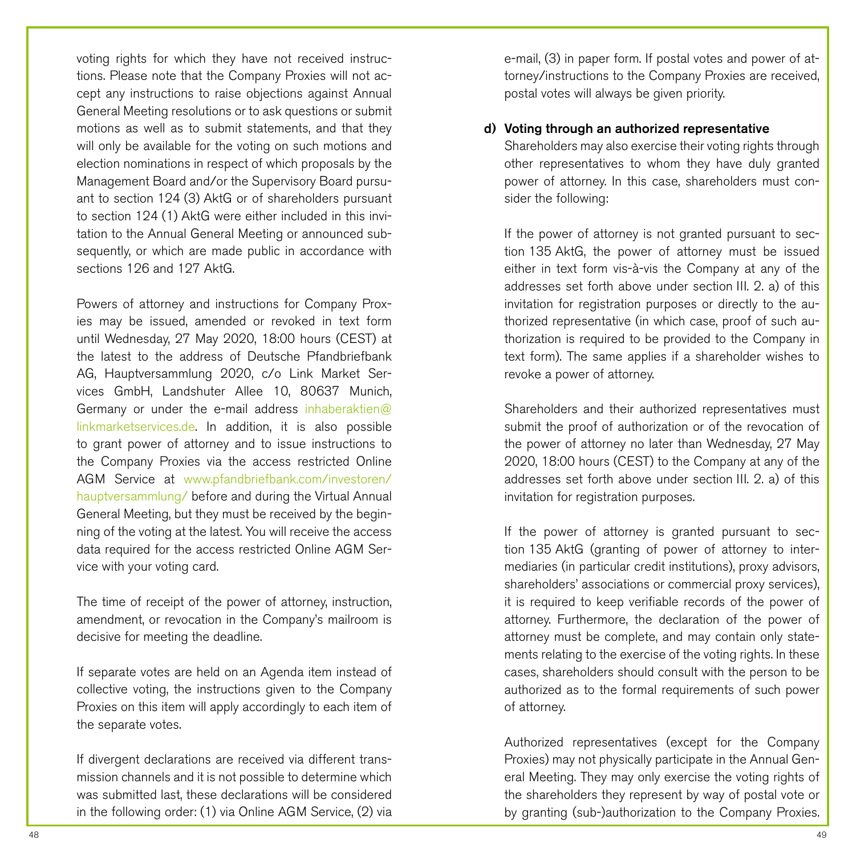voting rights for which they have not received instructions. Please note that the Company Proxies will not accept any instructions to raise objections against Annual General Meeting resolutions or to ask questions or submit motions as well as to submit statements, and that they will only be available for the voting on such motions and election nominations in respect of which proposals by the Management Board and/or the Supervisory Board pursuant to section 124 (3) AktG or of shareholders pursuant to section 124 (1) AktG were either included in this invitation to the Annual General Meeting or announced subsequently, or which are made public in accordance with sections 126 and 127 AktG.

Powers of attorney and instructions for Company Proxies may be issued, amended or revoked in text form until Wednesday, 27 May 2020, 18:00 hours (CEST) at the latest to the address of Deutsche Pfandbriefbank AG, Hauptversammlung 2020, c/o Link Market Services GmbH, Landshuter Allee 10, 80637 Munich, Germany or under the e-mail address [inhaberaktien@](mailto:inhaberaktien%40linkmarketservices.de?subject=) [linkmarketservices.de.](mailto:inhaberaktien%40linkmarketservices.de?subject=) In addition, it is also possible to grant power of attorney and to issue instructions to the Company Proxies via the access restricted Online AGM Service at [www.pfandbriefbank.com/investoren/](http://www.pfandbriefbank.com/investoren/hauptversammlung/) [hauptversammlung/](http://www.pfandbriefbank.com/investoren/hauptversammlung/) before and during the Virtual Annual General Meeting, but they must be received by the beginning of the voting at the latest. You will receive the access data required for the access restricted Online AGM Service with your voting card.

The time of receipt of the power of attorney, instruction, amendment, or revocation in the Company's mailroom is decisive for meeting the deadline.

If separate votes are held on an Agenda item instead of collective voting, the instructions given to the Company Proxies on this item will apply accordingly to each item of the separate votes.

If divergent declarations are received via different transmission channels and it is not possible to determine which was submitted last, these declarations will be considered in the following order: (1) via Online AGM Service, (2) via e-mail, (3) in paper form. If postal votes and power of attorney/instructions to the Company Proxies are received, postal votes will always be given priority.

### d) Voting through an authorized representative

Shareholders may also exercise their voting rights through other representatives to whom they have duly granted power of attorney. In this case, shareholders must consider the following:

If the power of attorney is not granted pursuant to section 135 AktG, the power of attorney must be issued either in text form vis-à-vis the Company at any of the addresses set forth above under section III. 2. a) of this invitation for registration purposes or directly to the authorized representative (in which case, proof of such authorization is required to be provided to the Company in text form). The same applies if a shareholder wishes to revoke a power of attorney.

Shareholders and their authorized representatives must submit the proof of authorization or of the revocation of the power of attorney no later than Wednesday, 27 May 2020, 18:00 hours (CEST) to the Company at any of the addresses set forth above under section III. 2. a) of this invitation for registration purposes.

If the power of attorney is granted pursuant to section 135 AktG (granting of power of attorney to intermediaries (in particular credit institutions), proxy advisors, shareholders' associations or commercial proxy services), it is required to keep verifiable records of the power of attorney. Furthermore, the declaration of the power of attorney must be complete, and may contain only statements relating to the exercise of the voting rights. In these cases, shareholders should consult with the person to be authorized as to the formal requirements of such power of attorney.

Authorized representatives (except for the Company Proxies) may not physically participate in the Annual General Meeting. They may only exercise the voting rights of the shareholders they represent by way of postal vote or by granting (sub-)authorization to the Company Proxies.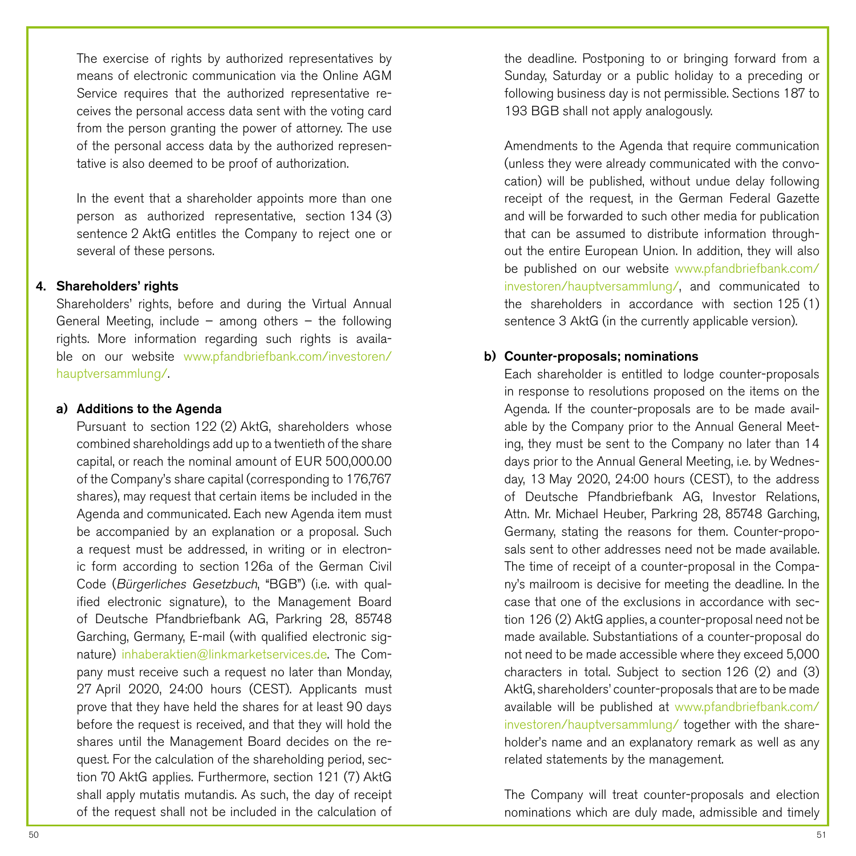The exercise of rights by authorized representatives by means of electronic communication via the Online AGM Service requires that the authorized representative receives the personal access data sent with the voting card from the person granting the power of attorney. The use of the personal access data by the authorized representative is also deemed to be proof of authorization.

In the event that a shareholder appoints more than one person as authorized representative, section 134 (3) sentence 2 AktG entitles the Company to reject one or several of these persons.

### 4. Shareholders' rights

Shareholders' rights, before and during the Virtual Annual General Meeting, include – among others – the following rights. More information regarding such rights is available on our website [www.pfandbriefbank.com/investoren/](http://www.pfandbriefbank.com/investoren/hauptversammlung/) [hauptversammlung/.](http://www.pfandbriefbank.com/investoren/hauptversammlung/)

#### a) Additions to the Agenda

Pursuant to section 122 (2) AktG, shareholders whose combined shareholdings add up to a twentieth of the share capital, or reach the nominal amount of EUR 500,000.00 of the Company's share capital (corresponding to 176,767 shares), may request that certain items be included in the Agenda and communicated. Each new Agenda item must be accompanied by an explanation or a proposal. Such a request must be addressed, in writing or in electronic form according to section 126a of the German Civil Code (Bürgerliches Gesetzbuch, "BGB") (i.e. with qualified electronic signature), to the Management Board of Deutsche Pfandbriefbank AG, Parkring 28, 85748 Garching, Germany, E-mail (with qualified electronic signature) [inhaberaktien@linkmarketservices.de.](mailto:inhaberaktien%40linkmarketservices.de?subject=) The Company must receive such a request no later than Monday, 27 April 2020, 24:00 hours (CEST). Applicants must prove that they have held the shares for at least 90 days before the request is received, and that they will hold the shares until the Management Board decides on the request. For the calculation of the shareholding period, section 70 AktG applies. Furthermore, section 121 (7) AktG shall apply mutatis mutandis. As such, the day of receipt of the request shall not be included in the calculation of

the deadline. Postponing to or bringing forward from a Sunday, Saturday or a public holiday to a preceding or following business day is not permissible. Sections 187 to 193 BGB shall not apply analogously.

Amendments to the Agenda that require communication (unless they were already communicated with the convocation) will be published, without undue delay following receipt of the request, in the German Federal Gazette and will be forwarded to such other media for publication that can be assumed to distribute information throughout the entire European Union. In addition, they will also be published on our website [www.pfandbriefbank.com/](http://www.pfandbriefbank.com/investoren/hauptversammlung/) [investoren/hauptversammlung/,](http://www.pfandbriefbank.com/investoren/hauptversammlung/) and communicated to the shareholders in accordance with section 125 (1) sentence 3 AktG (in the currently applicable version).

### b) Counter-proposals; nominations

Each shareholder is entitled to lodge counter-proposals in response to resolutions proposed on the items on the Agenda. If the counter-proposals are to be made available by the Company prior to the Annual General Meeting, they must be sent to the Company no later than 14 days prior to the Annual General Meeting, i.e. by Wednesday, 13 May 2020, 24:00 hours (CEST), to the address of Deutsche Pfandbriefbank AG, Investor Relations, Attn. Mr. Michael Heuber, Parkring 28, 85748 Garching, Germany, stating the reasons for them. Counter-proposals sent to other addresses need not be made available. The time of receipt of a counter-proposal in the Company's mailroom is decisive for meeting the deadline. In the case that one of the exclusions in accordance with section 126 (2) AktG applies, a counter-proposal need not be made available. Substantiations of a counter-proposal do not need to be made accessible where they exceed 5,000 characters in total. Subject to section 126 (2) and (3) AktG, shareholders' counter-proposals that are to be made available will be published at [www.pfandbriefbank.com/](http://www.pfandbriefbank.com/investoren/hauptversammlung/) [investoren/hauptversammlung/](http://www.pfandbriefbank.com/investoren/hauptversammlung/) together with the shareholder's name and an explanatory remark as well as any related statements by the management.

The Company will treat counter-proposals and election nominations which are duly made, admissible and timely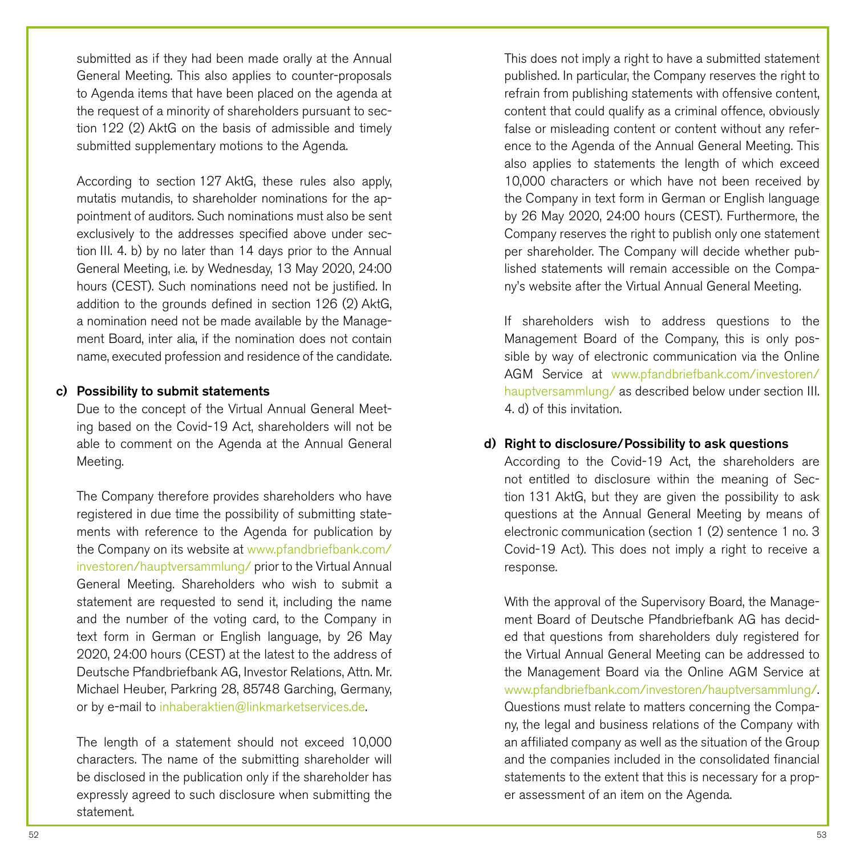submitted as if they had been made orally at the Annual General Meeting. This also applies to counter-proposals to Agenda items that have been placed on the agenda at the request of a minority of shareholders pursuant to section 122 (2) AktG on the basis of admissible and timely submitted supplementary motions to the Agenda.

According to section 127 AktG, these rules also apply, mutatis mutandis, to shareholder nominations for the appointment of auditors. Such nominations must also be sent exclusively to the addresses specified above under section III. 4. b) by no later than 14 days prior to the Annual General Meeting, i.e. by Wednesday, 13 May 2020, 24:00 hours (CEST). Such nominations need not be justified. In addition to the grounds defined in section 126 (2) AktG, a nomination need not be made available by the Management Board, inter alia, if the nomination does not contain name, executed profession and residence of the candidate.

### c) Possibility to submit statements

Due to the concept of the Virtual Annual General Meeting based on the Covid-19 Act, shareholders will not be able to comment on the Agenda at the Annual General Meeting.

The Company therefore provides shareholders who have registered in due time the possibility of submitting statements with reference to the Agenda for publication by the Company on its website at [www.pfandbriefbank.com/](http://www.pfandbriefbank.com/investoren/hauptversammlung/) [investoren/hauptversammlung/](http://www.pfandbriefbank.com/investoren/hauptversammlung/) prior to the Virtual Annual General Meeting. Shareholders who wish to submit a statement are requested to send it, including the name and the number of the voting card, to the Company in text form in German or English language, by 26 May 2020, 24:00 hours (CEST) at the latest to the address of Deutsche Pfandbriefbank AG, Investor Relations, Attn. Mr. Michael Heuber, Parkring 28, 85748 Garching, Germany, or by e-mail to [inhaberaktien@linkmarketservices.de](mailto:inhaberaktien%40linkmarketservices.de?subject=).

The length of a statement should not exceed 10,000 characters. The name of the submitting shareholder will be disclosed in the publication only if the shareholder has expressly agreed to such disclosure when submitting the statement.

This does not imply a right to have a submitted statement published. In particular, the Company reserves the right to refrain from publishing statements with offensive content, content that could qualify as a criminal offence, obviously false or misleading content or content without any reference to the Agenda of the Annual General Meeting. This also applies to statements the length of which exceed 10,000 characters or which have not been received by the Company in text form in German or English language by 26 May 2020, 24:00 hours (CEST). Furthermore, the Company reserves the right to publish only one statement per shareholder. The Company will decide whether published statements will remain accessible on the Company's website after the Virtual Annual General Meeting.

If shareholders wish to address questions to the Management Board of the Company, this is only possible by way of electronic communication via the Online AGM Service at [www.pfandbriefbank.com/investoren/](http://www.pfandbriefbank.com/investoren/hauptversammlung/) [hauptversammlung/](http://www.pfandbriefbank.com/investoren/hauptversammlung/) as described below under section III. 4. d) of this invitation.

#### d) Right to disclosure/Possibility to ask questions

According to the Covid-19 Act, the shareholders are not entitled to disclosure within the meaning of Section 131 AktG, but they are given the possibility to ask questions at the Annual General Meeting by means of electronic communication (section 1 (2) sentence 1 no. 3 Covid-19 Act). This does not imply a right to receive a response.

With the approval of the Supervisory Board, the Management Board of Deutsche Pfandbriefbank AG has decided that questions from shareholders duly registered for the Virtual Annual General Meeting can be addressed to the Management Board via the Online AGM Service at [www.pfandbriefbank.com/investoren/hauptversammlung/.](http://www.pfandbriefbank.com/investoren/hauptversammlung/) Questions must relate to matters concerning the Company, the legal and business relations of the Company with an affiliated company as well as the situation of the Group and the companies included in the consolidated financial statements to the extent that this is necessary for a proper assessment of an item on the Agenda.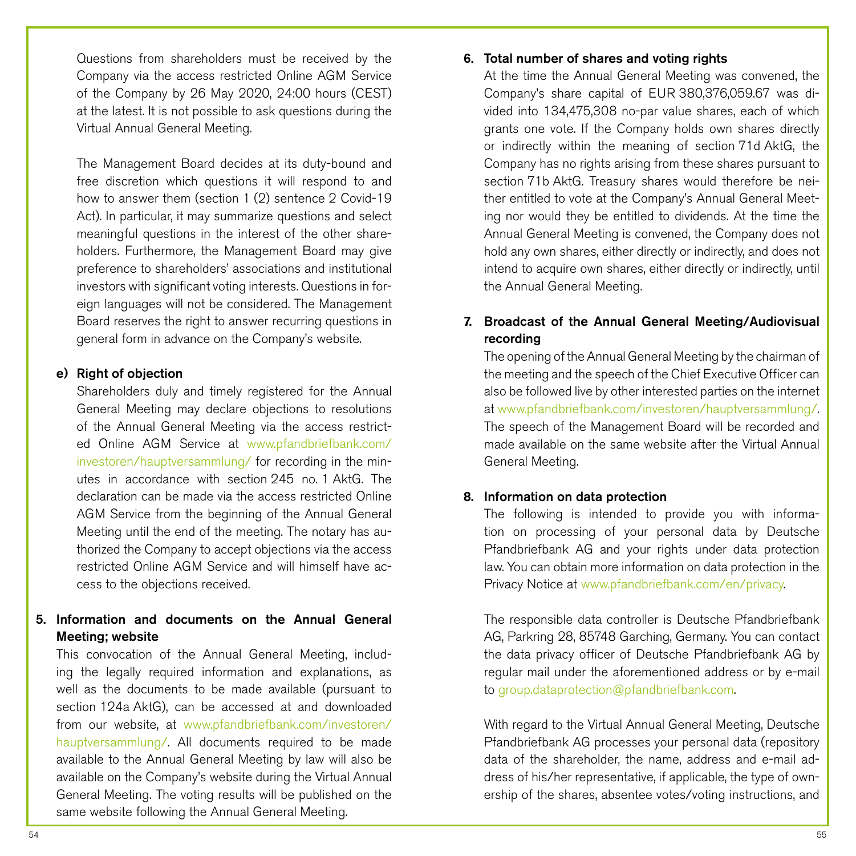Questions from shareholders must be received by the Company via the access restricted Online AGM Service of the Company by 26 May 2020, 24:00 hours (CEST) at the latest. It is not possible to ask questions during the Virtual Annual General Meeting.

The Management Board decides at its duty-bound and free discretion which questions it will respond to and how to answer them (section 1 (2) sentence 2 Covid-19 Act). In particular, it may summarize questions and select meaningful questions in the interest of the other shareholders. Furthermore, the Management Board may give preference to shareholders' associations and institutional investors with significant voting interests. Questions in foreign languages will not be considered. The Management Board reserves the right to answer recurring questions in general form in advance on the Company's website.

### e) Right of objection

Shareholders duly and timely registered for the Annual General Meeting may declare objections to resolutions of the Annual General Meeting via the access restricted Online AGM Service at [www.pfandbriefbank.com/](http://www.pfandbriefbank.com/investoren/hauptversammlung/) [investoren/hauptversammlung/](http://www.pfandbriefbank.com/investoren/hauptversammlung/) for recording in the minutes in accordance with section 245 no. 1 AktG. The declaration can be made via the access restricted Online AGM Service from the beginning of the Annual General Meeting until the end of the meeting. The notary has authorized the Company to accept objections via the access restricted Online AGM Service and will himself have access to the objections received.

# 5. Information and documents on the Annual General Meeting; website

This convocation of the Annual General Meeting, including the legally required information and explanations, as well as the documents to be made available (pursuant to section 124a AktG), can be accessed at and downloaded from our website, at [www.pfandbriefbank.com/investoren/](http://www.pfandbriefbank.com/investoren/hauptversammlung/) [hauptversammlung/.](http://www.pfandbriefbank.com/investoren/hauptversammlung/) All documents required to be made available to the Annual General Meeting by law will also be available on the Company's website during the Virtual Annual General Meeting. The voting results will be published on the same website following the Annual General Meeting.

### 6. Total number of shares and voting rights

At the time the Annual General Meeting was convened, the Company's share capital of EUR 380,376,059.67 was divided into 134,475,308 no-par value shares, each of which grants one vote. If the Company holds own shares directly or indirectly within the meaning of section 71d AktG, the Company has no rights arising from these shares pursuant to section 71b AktG. Treasury shares would therefore be neither entitled to vote at the Company's Annual General Meeting nor would they be entitled to dividends. At the time the Annual General Meeting is convened, the Company does not hold any own shares, either directly or indirectly, and does not intend to acquire own shares, either directly or indirectly, until the Annual General Meeting.

# 7. Broadcast of the Annual General Meeting/Audiovisual recording

The opening of the Annual General Meeting by the chairman of the meeting and the speech of the Chief Executive Officer can also be followed live by other interested parties on the internet at [www.pfandbriefbank.com/investoren/hauptversammlung/.](http://www.pfandbriefbank.com/investoren/hauptversammlung/) The speech of the Management Board will be recorded and made available on the same website after the Virtual Annual General Meeting.

### 8. Information on data protection

The following is intended to provide you with information on processing of your personal data by Deutsche Pfandbriefbank AG and your rights under data protection law. You can obtain more information on data protection in the Privacy Notice at [www.pfandbriefbank.com/en/privacy](http://www.pfandbriefbank.com/en/privacy).

The responsible data controller is Deutsche Pfandbriefbank AG, Parkring 28, 85748 Garching, Germany. You can contact the data privacy officer of Deutsche Pfandbriefbank AG by regular mail under the aforementioned address or by e-mail to [group.dataprotection@pfandbriefbank.com.](mailto:group.dataprotection%40pfandbriefbank.com?subject=)

With regard to the Virtual Annual General Meeting, Deutsche Pfandbriefbank AG processes your personal data (repository data of the shareholder, the name, address and e-mail address of his/her representative, if applicable, the type of ownership of the shares, absentee votes/voting instructions, and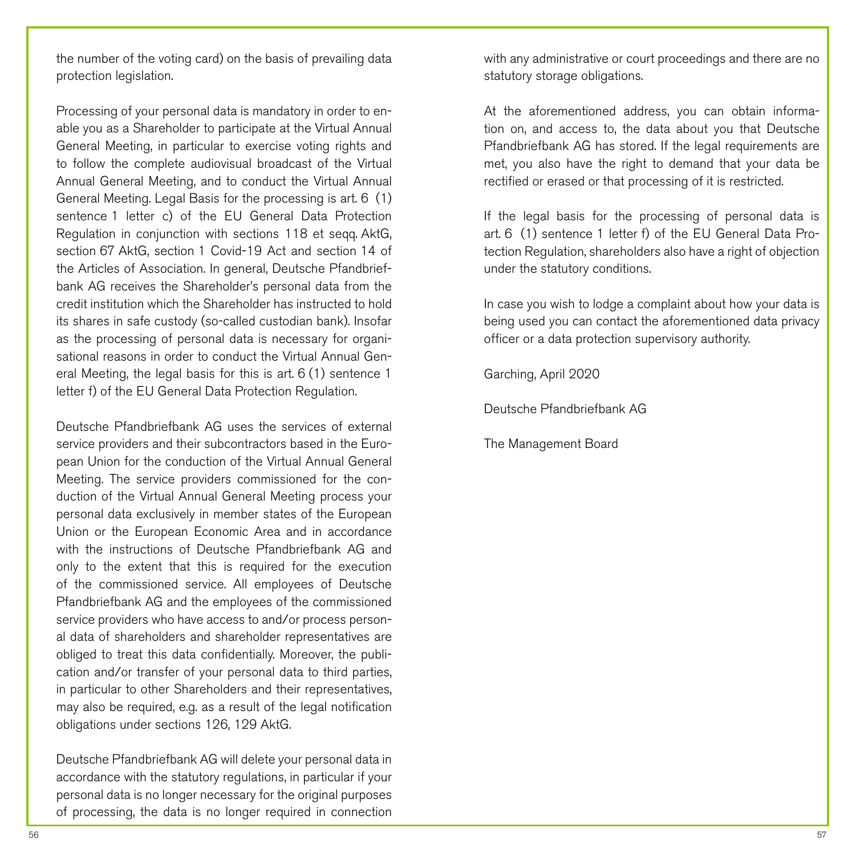the number of the voting card) on the basis of prevailing data protection legislation.

Processing of your personal data is mandatory in order to enable you as a Shareholder to participate at the Virtual Annual General Meeting, in particular to exercise voting rights and to follow the complete audiovisual broadcast of the Virtual Annual General Meeting, and to conduct the Virtual Annual General Meeting. Legal Basis for the processing is art. 6 (1) sentence 1 letter c) of the EU General Data Protection Regulation in conjunction with sections 118 et seqq. AktG, section 67 AktG, section 1 Covid-19 Act and section 14 of the Articles of Association. In general, Deutsche Pfandbriefbank AG receives the Shareholder's personal data from the credit institution which the Shareholder has instructed to hold its shares in safe custody (so-called custodian bank). Insofar as the processing of personal data is necessary for organisational reasons in order to conduct the Virtual Annual General Meeting, the legal basis for this is art. 6 (1) sentence 1 letter f) of the EU General Data Protection Regulation.

Deutsche Pfandbriefbank AG uses the services of external service providers and their subcontractors based in the European Union for the conduction of the Virtual Annual General Meeting. The service providers commissioned for the conduction of the Virtual Annual General Meeting process your personal data exclusively in member states of the European Union or the European Economic Area and in accordance with the instructions of Deutsche Pfandbriefbank AG and only to the extent that this is required for the execution of the commissioned service. All employees of Deutsche Pfandbriefbank AG and the employees of the commissioned service providers who have access to and/or process personal data of shareholders and shareholder representatives are obliged to treat this data confidentially. Moreover, the publication and/or transfer of your personal data to third parties, in particular to other Shareholders and their representatives, may also be required, e.g. as a result of the legal notification obligations under sections 126, 129 AktG.

Deutsche Pfandbriefbank AG will delete your personal data in accordance with the statutory regulations, in particular if your personal data is no longer necessary for the original purposes of processing, the data is no longer required in connection with any administrative or court proceedings and there are no statutory storage obligations.

At the aforementioned address, you can obtain information on, and access to, the data about you that Deutsche Pfandbriefbank AG has stored. If the legal requirements are met, you also have the right to demand that your data be rectified or erased or that processing of it is restricted.

If the legal basis for the processing of personal data is art. 6 (1) sentence 1 letter f) of the EU General Data Protection Regulation, shareholders also have a right of objection under the statutory conditions.

In case you wish to lodge a complaint about how your data is being used you can contact the aforementioned data privacy officer or a data protection supervisory authority.

Garching, April 2020

Deutsche Pfandbriefbank AG

The Management Board